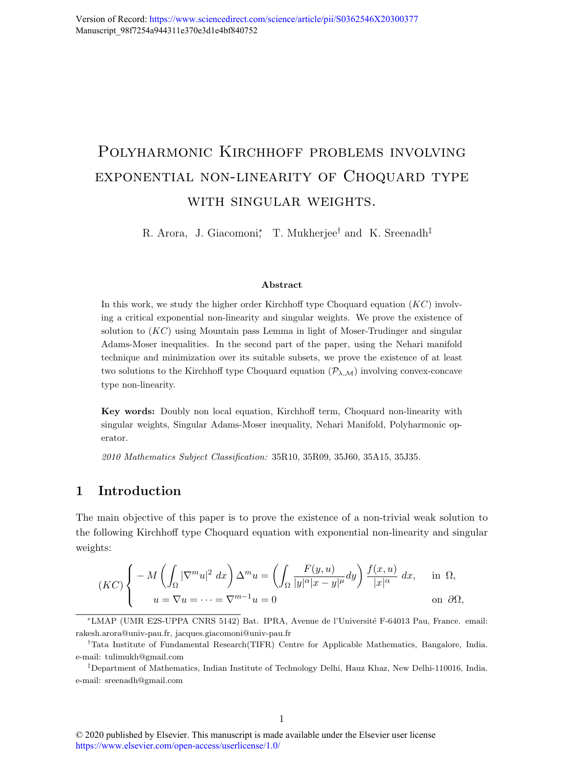# Polyharmonic Kirchhoff problems involving exponential non-linearity of Choquard type with singular weights.

R. Arora, J. Giacomoni<sup>\*</sup>, T. Mukherjee<sup>†</sup> and K. Sreenadh<sup>‡</sup>

#### Abstract

In this work, we study the higher order Kirchhoff type Choquard equation  $(KC)$  involving a critical exponential non-linearity and singular weights. We prove the existence of solution to  $(KC)$  using Mountain pass Lemma in light of Moser-Trudinger and singular Adams-Moser inequalities. In the second part of the paper, using the Nehari manifold technique and minimization over its suitable subsets, we prove the existence of at least two solutions to the Kirchhoff type Choquard equation  $(\mathcal{P}_{\lambda,\mathcal{M}})$  involving convex-concave type non-linearity.

Key words: Doubly non local equation, Kirchhoff term, Choquard non-linearity with singular weights, Singular Adams-Moser inequality, Nehari Manifold, Polyharmonic operator.

2010 Mathematics Subject Classification: 35R10, 35R09, 35J60, 35A15, 35J35.

# 1 Introduction

The main objective of this paper is to prove the existence of a non-trivial weak solution to the following Kirchhoff type Choquard equation with exponential non-linearity and singular weights:

$$
(KC)\begin{cases}\n-M\left(\int_{\Omega}|\nabla^m u|^2 dx\right)\Delta^m u = \left(\int_{\Omega}\frac{F(y,u)}{|y|^{\alpha}|x-y|^{\mu}}dy\right)\frac{f(x,u)}{|x|^{\alpha}} dx, & \text{in } \Omega, \\
u = \nabla u = \dots = \nabla^{m-1} u = 0 & \text{on } \partial\Omega,\n\end{cases}
$$

<sup>∗</sup>LMAP (UMR E2S-UPPA CNRS 5142) Bat. IPRA, Avenue de l'Universit´e F-64013 Pau, France. email: rakesh.arora@univ-pau.fr, jacques.giacomoni@univ-pau.fr

<sup>†</sup>Tata Institute of Fundamental Research(TIFR) Centre for Applicable Mathematics, Bangalore, India. e-mail: tulimukh@gmail.com

<sup>‡</sup>Department of Mathematics, Indian Institute of Technology Delhi, Hauz Khaz, New Delhi-110016, India. e-mail: sreenadh@gmail.com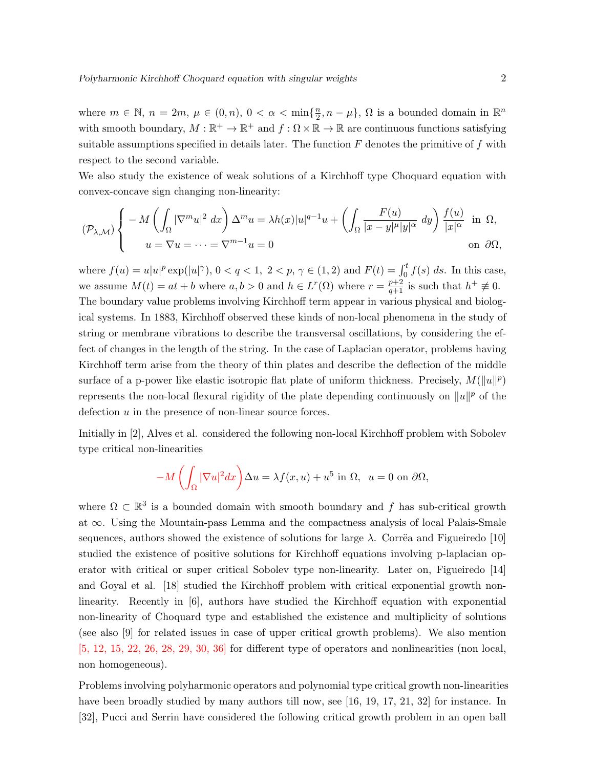where  $m \in \mathbb{N}$ ,  $n = 2m$ ,  $\mu \in (0, n)$ ,  $0 < \alpha < \min\{\frac{n}{2}\}$  $\frac{n}{2}, n - \mu$ ,  $\Omega$  is a bounded domain in  $\mathbb{R}^n$ with smooth boundary,  $M : \mathbb{R}^+ \to \mathbb{R}^+$  and  $f : \Omega \times \mathbb{R} \to \mathbb{R}$  are continuous functions satisfying suitable assumptions specified in details later. The function  $F$  denotes the primitive of  $f$  with respect to the second variable.

We also study the existence of weak solutions of a Kirchhoff type Choquard equation with convex-concave sign changing non-linearity:

$$
(\mathcal{P}_{\lambda,\mathcal{M}})\left\{\n\begin{aligned}\n-M\left(\int_{\Omega}|\nabla^m u|^2\ dx\right)\Delta^m u &= \lambda h(x)|u|^{q-1}u + \left(\int_{\Omega}\frac{F(u)}{|x-y|^{\mu}|y|^{\alpha}}\ dy\right)\frac{f(u)}{|x|^{\alpha}}\n\text{ in } \Omega, \\
u &= \nabla u = \dots = \nabla^{m-1}u = 0\n\end{aligned}\n\right.
$$

where  $f(u) = u|u|^p \exp(|u|^{\gamma}), 0 < q < 1, 2 < p, \gamma \in (1, 2)$  and  $F(t) = \int_0^t f(s) ds$ . In this case, we assume  $M(t) = at + b$  where  $a, b > 0$  and  $h \in L^{r}(\Omega)$  where  $r = \frac{p+2}{q+1}$  is such that  $h^{+} \neq 0$ . The boundary value problems involving Kirchhoff term appear in various physical and biological systems. In 1883, Kirchhoff observed these kinds of non-local phenomena in the study of string or membrane vibrations to describe the transversal oscillations, by considering the effect of changes in the length of the string. In the case of Laplacian operator, problems having Kirchhoff term arise from the theory of thin plates and describe the deflection of the middle surface of a p-power like elastic isotropic flat plate of uniform thickness. Precisely,  $M(\|u\|^p)$ represents the non-local flexural rigidity of the plate depending continuously on  $||u||^p$  of the defection u in the presence of non-linear source forces.

Initially in [2], Alves et al. considered the following non-local Kirchhoff problem with Sobolev type critical non-linearities

$$
-M\left(\int_{\Omega}|\nabla u|^2dx\right)\Delta u = \lambda f(x,u) + u^5 \text{ in } \Omega, \ \ u = 0 \text{ on } \partial\Omega,
$$

where  $\Omega \subset \mathbb{R}^3$  is a bounded domain with smooth boundary and f has sub-critical growth at ∞. Using the Mountain-pass Lemma and the compactness analysis of local Palais-Smale sequences, authors showed the existence of solutions for large  $\lambda$ . Corrëa and Figueiredo [10] studied the existence of positive solutions for Kirchhoff equations involving p-laplacian operator with critical or super critical Sobolev type non-linearity. Later on, Figueiredo [14] and Goyal et al. [18] studied the Kirchhoff problem with critical exponential growth nonlinearity. Recently in [6], authors have studied the Kirchhoff equation with exponential non-linearity of Choquard type and established the existence and multiplicity of solutions (see also [9] for related issues in case of upper critical growth problems). We also mention  $[5, 12, 15, 22, 26, 28, 29, 30, 36]$  for different type of operators and nonlinearities (non local, non homogeneous).

Problems involving polyharmonic operators and polynomial type critical growth non-linearities have been broadly studied by many authors till now, see [16, 19, 17, 21, 32] for instance. In [32], Pucci and Serrin have considered the following critical growth problem in an open ball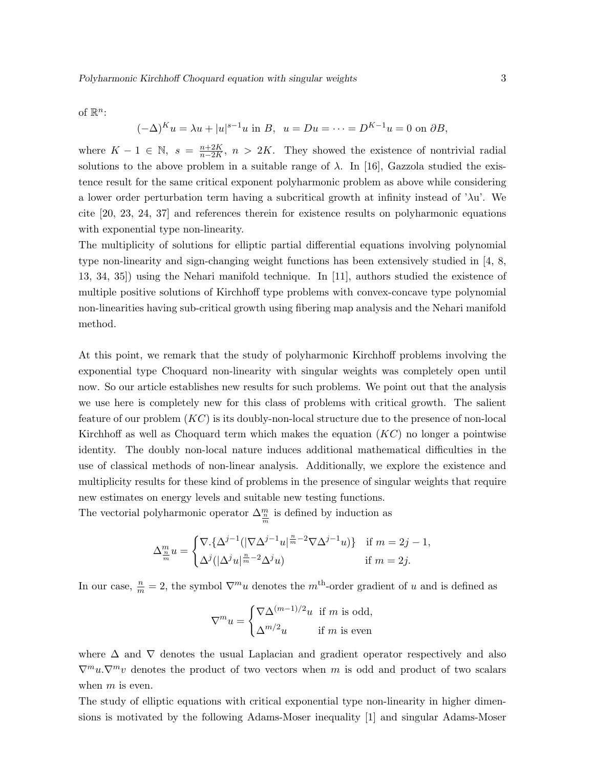of  $\mathbb{R}^n$ :

$$
(-\Delta)^K u = \lambda u + |u|^{s-1} u
$$
 in B,  $u = Du = \dots = D^{K-1} u = 0$  on  $\partial B$ ,

where  $K-1 \in \mathbb{N}$ ,  $s = \frac{n+2K}{n-2K}$  $\frac{n+2K}{n-2K}$ ,  $n > 2K$ . They showed the existence of nontrivial radial solutions to the above problem in a suitable range of  $\lambda$ . In [16], Gazzola studied the existence result for the same critical exponent polyharmonic problem as above while considering a lower order perturbation term having a subcritical growth at infinity instead of ' $\lambda u$ '. We cite [20, 23, 24, 37] and references therein for existence results on polyharmonic equations with exponential type non-linearity.

The multiplicity of solutions for elliptic partial differential equations involving polynomial type non-linearity and sign-changing weight functions has been extensively studied in [4, 8, 13, 34, 35]) using the Nehari manifold technique. In [11], authors studied the existence of multiple positive solutions of Kirchhoff type problems with convex-concave type polynomial non-linearities having sub-critical growth using fibering map analysis and the Nehari manifold method.

At this point, we remark that the study of polyharmonic Kirchhoff problems involving the exponential type Choquard non-linearity with singular weights was completely open until now. So our article establishes new results for such problems. We point out that the analysis we use here is completely new for this class of problems with critical growth. The salient feature of our problem  $(KC)$  is its doubly-non-local structure due to the presence of non-local Kirchhoff as well as Choquard term which makes the equation  $(KC)$  no longer a pointwise identity. The doubly non-local nature induces additional mathematical difficulties in the use of classical methods of non-linear analysis. Additionally, we explore the existence and multiplicity results for these kind of problems in the presence of singular weights that require new estimates on energy levels and suitable new testing functions.

The vectorial polyharmonic operator  $\Delta_{\frac{n}{m}}^m$  is defined by induction as

$$
\Delta_{\frac{m}{m}}^m u = \begin{cases} \nabla \cdot \{ \Delta^{j-1} (|\nabla \Delta^{j-1} u|^{\frac{n}{m}-2} \nabla \Delta^{j-1} u) \} & \text{if } m = 2j - 1, \\ \nabla^j (|\Delta^j u|^{\frac{n}{m}-2} \Delta^j u) & \text{if } m = 2j. \end{cases}
$$

In our case,  $\frac{n}{m} = 2$ , the symbol  $\nabla^m u$  denotes the m<sup>th</sup>-order gradient of u and is defined as

$$
\nabla^m u = \begin{cases} \nabla \Delta^{(m-1)/2} u \text{ if } m \text{ is odd,} \\ \Delta^{m/2} u \text{ if } m \text{ is even} \end{cases}
$$

where  $\Delta$  and  $\nabla$  denotes the usual Laplacian and gradient operator respectively and also  $\nabla^m u \cdot \nabla^m v$  denotes the product of two vectors when m is odd and product of two scalars when  $m$  is even.

The study of elliptic equations with critical exponential type non-linearity in higher dimensions is motivated by the following Adams-Moser inequality [1] and singular Adams-Moser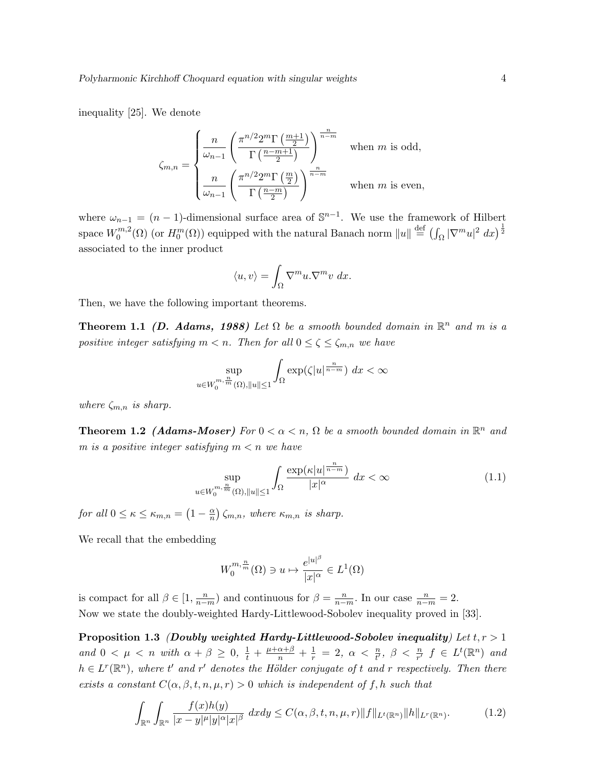inequality [25]. We denote

$$
\zeta_{m,n} = \begin{cases} \frac{n}{\omega_{n-1}} \left( \frac{\pi^{n/2} 2^m \Gamma\left(\frac{m+1}{2}\right)}{\Gamma\left(\frac{n-m+1}{2}\right)} \right)^{\frac{n}{n-m}} & \text{when } m \text{ is odd,} \\ \frac{n}{\omega_{n-1}} \left( \frac{\pi^{n/2} 2^m \Gamma\left(\frac{m}{2}\right)}{\Gamma\left(\frac{n-m}{2}\right)} \right)^{\frac{n}{n-m}} & \text{when } m \text{ is even,} \end{cases}
$$

where  $\omega_{n-1} = (n-1)$ -dimensional surface area of  $\mathbb{S}^{n-1}$ . We use the framework of Hilbert space  $W_0^{m,2}$  $\mathcal{L}_0^{m,2}(\Omega)$  (or  $H_0^m(\Omega)$ ) equipped with the natural Banach norm  $\|u\| \stackrel{\text{def}}{=} (\int_{\Omega} |\nabla^m u|^2 dx)^{\frac{1}{2}}$ associated to the inner product

$$
\langle u, v \rangle = \int_{\Omega} \nabla^m u . \nabla^m v \, dx.
$$

Then, we have the following important theorems.

**Theorem 1.1** (D. Adams, 1988) Let  $\Omega$  be a smooth bounded domain in  $\mathbb{R}^n$  and m is a positive integer satisfying  $m < n$ . Then for all  $0 \le \zeta \le \zeta_{m,n}$  we have

$$
\sup_{u \in W_0^{m, \frac{n}{m}}(\Omega), ||u|| \le 1} \int_{\Omega} \exp(\zeta |u|^{\frac{n}{n-m}}) dx < \infty
$$

where  $\zeta_{m,n}$  is sharp.

**Theorem 1.2 (Adams-Moser)** For  $0 < \alpha < n$ ,  $\Omega$  be a smooth bounded domain in  $\mathbb{R}^n$  and m is a positive integer satisfying  $m < n$  we have

$$
\sup_{u \in W_0^{m, \frac{n}{m}}(\Omega), \|u\| \le 1} \int_{\Omega} \frac{\exp(\kappa |u|^{\frac{n}{n-m}})}{|x|^{\alpha}} dx < \infty \tag{1.1}
$$

for all  $0 \leq \kappa \leq \kappa_{m,n} = \left(1 - \frac{\alpha}{n}\right)$  $\frac{\alpha}{n}$ )  $\zeta_{m,n}$ , where  $\kappa_{m,n}$  is sharp.

We recall that the embedding

$$
W_0^{m, \frac{n}{m}}(\Omega) \ni u \mapsto \frac{e^{|u|^\beta}}{|x|^\alpha} \in L^1(\Omega)
$$

is compact for all  $\beta \in [1, \frac{n}{n-1}]$  $\frac{n}{n-m}$ ) and continuous for  $\beta = \frac{n}{n-m}$  $\frac{n}{n-m}$ . In our case  $\frac{n}{n-m} = 2$ . Now we state the doubly-weighted Hardy-Littlewood-Sobolev inequality proved in [33].

Proposition 1.3 (Doubly weighted Hardy-Littlewood-Sobolev inequality) Let  $t, r > 1$ and  $0 < \mu < n$  with  $\alpha + \beta \geq 0$ ,  $\frac{1}{t} + \frac{\mu + \alpha + \beta}{n} + \frac{1}{r} = 2$ ,  $\alpha < \frac{n}{t'}$ ,  $\beta < \frac{n}{r'}$   $f \in L^t(\mathbb{R}^n)$  and  $h \in L^r(\mathbb{R}^n)$ , where t' and r' denotes the Hölder conjugate of t and r respectively. Then there exists a constant  $C(\alpha, \beta, t, n, \mu, r) > 0$  which is independent of f, h such that

$$
\int_{\mathbb{R}^n} \int_{\mathbb{R}^n} \frac{f(x)h(y)}{|x - y|^{\mu}|y|^{\alpha}|x|^{\beta}} dxdy \le C(\alpha, \beta, t, n, \mu, r) \|f\|_{L^t(\mathbb{R}^n)} \|h\|_{L^r(\mathbb{R}^n)}.
$$
 (1.2)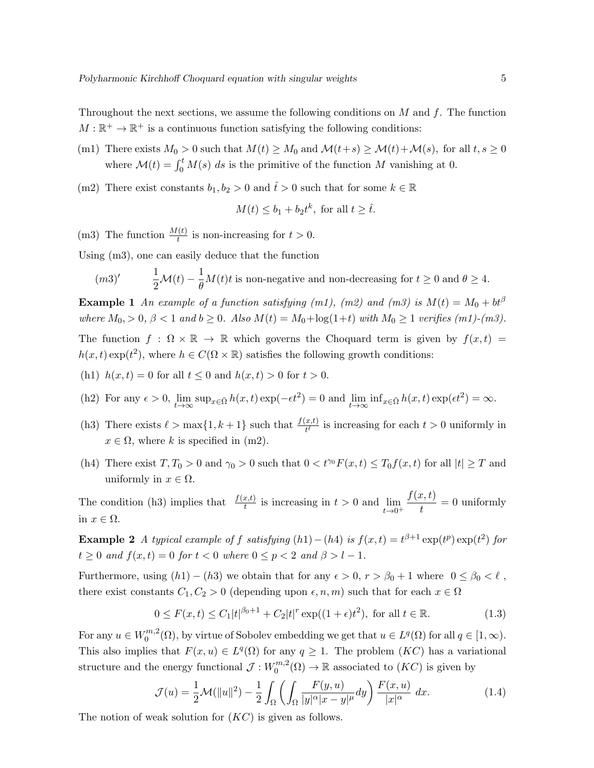Throughout the next sections, we assume the following conditions on  $M$  and  $f$ . The function  $M: \mathbb{R}^+ \to \mathbb{R}^+$  is a continuous function satisfying the following conditions:

- (m1) There exists  $M_0 > 0$  such that  $M(t) \geq M_0$  and  $\mathcal{M}(t+s) \geq \mathcal{M}(t) + \mathcal{M}(s)$ , for all  $t, s \geq 0$ where  $\mathcal{M}(t) = \int_0^t M(s) \, ds$  is the primitive of the function M vanishing at 0.
- (m2) There exist constants  $b_1, b_2 > 0$  and  $\hat{t} > 0$  such that for some  $k \in \mathbb{R}$

$$
M(t) \leq b_1 + b_2 t^k
$$
, for all  $t \geq \hat{t}$ .

(m3) The function  $\frac{M(t)}{t}$  is non-increasing for  $t > 0$ .

Using (m3), one can easily deduce that the function

$$
(m3)' \qquad \frac{1}{2}\mathcal{M}(t) - \frac{1}{\theta}M(t)t
$$
 is non-negative and non-decreasing for  $t \ge 0$  and  $\theta \ge 4$ .

**Example 1** An example of a function satisfying (m1), (m2) and (m3) is  $M(t) = M_0 + bt^{\beta}$ where  $M_0 > 0$ ,  $\beta < 1$  and  $b \geq 0$ . Also  $M(t) = M_0 + \log(1+t)$  with  $M_0 \geq 1$  verifies  $(m1)-(m3)$ .

The function  $f : \Omega \times \mathbb{R} \to \mathbb{R}$  which governs the Choquard term is given by  $f(x, t) =$  $h(x,t) \exp(t^2)$ , where  $h \in C(\Omega \times \mathbb{R})$  satisfies the following growth conditions:

- (h1)  $h(x,t) = 0$  for all  $t \leq 0$  and  $h(x,t) > 0$  for  $t > 0$ .
- (h2) For any  $\epsilon > 0$ ,  $\lim_{t \to \infty} \sup_{x \in \bar{\Omega}} h(x, t) \exp(-\epsilon t^2) = 0$  and  $\lim_{t \to \infty} \inf_{x \in \bar{\Omega}} h(x, t) \exp(\epsilon t^2) = \infty$ .
- (h3) There exists  $\ell > \max\{1, k+1\}$  such that  $\frac{f(x,t)}{t^{\ell}}$  is increasing for each  $t > 0$  uniformly in  $x \in \Omega$ , where k is specified in (m2).
- (h4) There exist  $T, T_0 > 0$  and  $\gamma_0 > 0$  such that  $0 < t^{\gamma_0} F(x, t) \leq T_0 f(x, t)$  for all  $|t| \geq T$  and uniformly in  $x \in \Omega$ .

The condition (h3) implies that  $\frac{f(x,t)}{t}$  is increasing in  $t > 0$  and  $\lim_{t \to 0^+}$  $f(x,t)$  $\frac{\partial}{\partial t}$  = 0 uniformly in  $x \in \Omega$ .

**Example 2** A typical example of f satisfying  $(h1) - (h4)$  is  $f(x,t) = t^{\beta+1} \exp(t^p) \exp(t^2)$  for  $t \geq 0$  and  $f(x,t) = 0$  for  $t < 0$  where  $0 \leq p < 2$  and  $\beta > l - 1$ .

Furthermore, using  $(h1) - (h3)$  we obtain that for any  $\epsilon > 0$ ,  $r > \beta_0 + 1$  where  $0 \le \beta_0 < \ell$ , there exist constants  $C_1, C_2 > 0$  (depending upon  $\epsilon, n, m$ ) such that for each  $x \in \Omega$ 

$$
0 \le F(x,t) \le C_1|t|^{\beta_0+1} + C_2|t|^r \exp((1+\epsilon)t^2), \text{ for all } t \in \mathbb{R}.
$$
 (1.3)

For any  $u \in W_0^{m,2}$  $U_0^{m,2}(\Omega)$ , by virtue of Sobolev embedding we get that  $u \in L^q(\Omega)$  for all  $q \in [1,\infty)$ . This also implies that  $F(x, u) \in L^q(\Omega)$  for any  $q \geq 1$ . The problem  $(KC)$  has a variational structure and the energy functional  $\mathcal{J}: W_0^{m,2}$  $\chi_0^{m,2}(\Omega) \to \mathbb{R}$  associated to  $(KC)$  is given by

$$
\mathcal{J}(u) = \frac{1}{2}\mathcal{M}(\|u\|^2) - \frac{1}{2}\int_{\Omega} \left(\int_{\Omega} \frac{F(y,u)}{|y|^{\alpha}|x-y|^{\mu}} dy\right) \frac{F(x,u)}{|x|^{\alpha}} dx.
$$
 (1.4)

The notion of weak solution for  $(KC)$  is given as follows.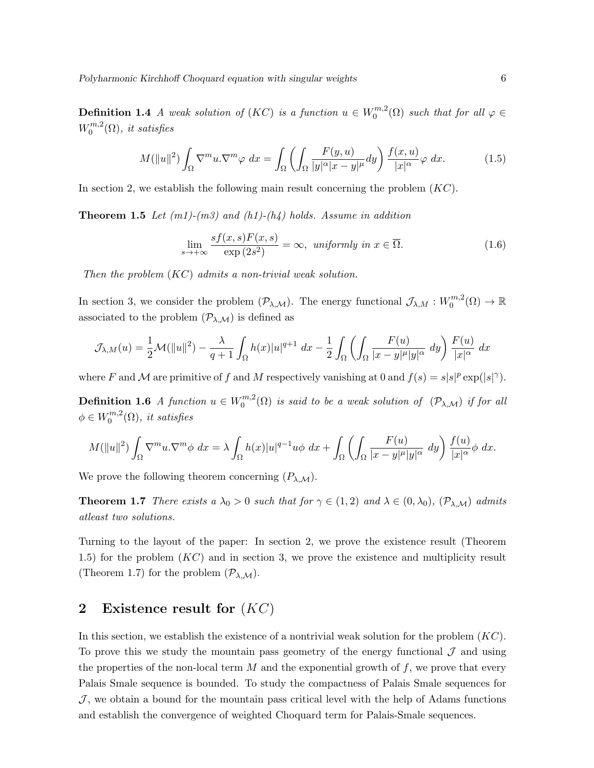**Definition 1.4** A weak solution of (KC) is a function  $u \in W_0^{m,2}$  $\mathcal{O}_0^{m,z}(\Omega)$  such that for all  $\varphi \in$  $W_0^{m,2}$  $\int_0^{m,2}$ ( $\Omega$ ), it satisfies

$$
M(\|u\|^2) \int_{\Omega} \nabla^m u \cdot \nabla^m \varphi \, dx = \int_{\Omega} \left( \int_{\Omega} \frac{F(y, u)}{|y|^{\alpha} |x - y|^{\mu}} dy \right) \frac{f(x, u)}{|x|^{\alpha}} \varphi \, dx. \tag{1.5}
$$

In section 2, we establish the following main result concerning the problem  $(KC)$ .

**Theorem 1.5** Let  $(m1)-(m3)$  and  $(h1)-(h4)$  holds. Assume in addition

$$
\lim_{s \to +\infty} \frac{sf(x,s)F(x,s)}{\exp(2s^2)} = \infty, \text{ uniformly in } x \in \overline{\Omega}.
$$
\n(1.6)

Then the problem (KC) admits a non-trivial weak solution.

In section 3, we consider the problem  $(\mathcal{P}_{\lambda,\mathcal{M}})$ . The energy functional  $\mathcal{J}_{\lambda,M}:W_0^{m,2}$  $C_0^{m,2}(\Omega) \to \mathbb{R}$ associated to the problem  $(\mathcal{P}_{\lambda,\mathcal{M}})$  is defined as

$$
\mathcal{J}_{\lambda,M}(u) = \frac{1}{2}\mathcal{M}(\|u\|^2) - \frac{\lambda}{q+1} \int_{\Omega} h(x)|u|^{q+1} dx - \frac{1}{2} \int_{\Omega} \left( \int_{\Omega} \frac{F(u)}{|x-y|^{\mu}|y|^{\alpha}} dy \right) \frac{F(u)}{|x|^{\alpha}} dx
$$

where F and M are primitive of f and M respectively vanishing at 0 and  $f(s) = s|s|^p \exp(|s|^\gamma)$ .

**Definition 1.6** A function  $u \in W_0^{m,2}$  $\mathcal{O}_0^{m,2}(\Omega)$  is said to be a weak solution of  $(\mathcal{P}_{\lambda,\mathcal{M}})$  if for all  $\phi \in W_0^{m,2}$  $\int_0^{m,2}$ ( $\Omega$ ), it satisfies

$$
M(\|u\|^2) \int_{\Omega} \nabla^m u \cdot \nabla^m \phi \, dx = \lambda \int_{\Omega} h(x) |u|^{q-1} u \phi \, dx + \int_{\Omega} \left( \int_{\Omega} \frac{F(u)}{|x-y|^{\mu}|y|^{\alpha}} \, dy \right) \frac{f(u)}{|x|^{\alpha}} \phi \, dx.
$$

We prove the following theorem concerning  $(P_{\lambda,\mathcal{M}})$ .

**Theorem 1.7** There exists a  $\lambda_0 > 0$  such that for  $\gamma \in (1, 2)$  and  $\lambda \in (0, \lambda_0)$ ,  $(\mathcal{P}_{\lambda}, \mathcal{M})$  admits atleast two solutions.

Turning to the layout of the paper: In section 2, we prove the existence result (Theorem 1.5) for the problem  $(KC)$  and in section 3, we prove the existence and multiplicity result (Theorem 1.7) for the problem  $(\mathcal{P}_{\lambda,\mathcal{M}})$ .

# 2 Existence result for  $(KC)$

In this section, we establish the existence of a nontrivial weak solution for the problem  $(KC)$ . To prove this we study the mountain pass geometry of the energy functional  $\mathcal J$  and using the properties of the non-local term  $M$  and the exponential growth of  $f$ , we prove that every Palais Smale sequence is bounded. To study the compactness of Palais Smale sequences for  $J$ , we obtain a bound for the mountain pass critical level with the help of Adams functions and establish the convergence of weighted Choquard term for Palais-Smale sequences.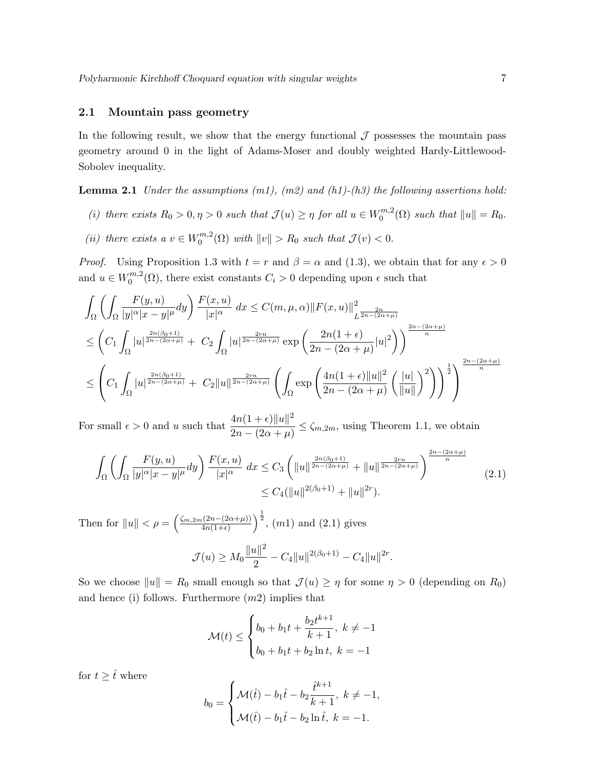#### 2.1 Mountain pass geometry

In the following result, we show that the energy functional  $\mathcal J$  possesses the mountain pass geometry around 0 in the light of Adams-Moser and doubly weighted Hardy-Littlewood-Sobolev inequality.

**Lemma 2.1** Under the assumptions  $(m1)$ ,  $(m2)$  and  $(h1)-(h3)$  the following assertions hold:

- (i) there exists  $R_0 > 0, \eta > 0$  such that  $\mathcal{J}(u) \geq \eta$  for all  $u \in W_0^{m,2}$  $\binom{m}{0}$  such that  $||u|| = R_0$ .
- (*ii*) there exists a  $v \in W_0^{m,2}$  $\mathbb{C}^{m,2}(0)$  with  $||v|| > R_0$  such that  $\mathcal{J}(v) < 0$ .

*Proof.* Using Proposition 1.3 with  $t = r$  and  $\beta = \alpha$  and (1.3), we obtain that for any  $\epsilon > 0$ and  $u \in W_0^{m,2}$  $O_0^{m,2}(\Omega)$ , there exist constants  $C_i > 0$  depending upon  $\epsilon$  such that

$$
\int_{\Omega} \left( \int_{\Omega} \frac{F(y, u)}{|y|^{\alpha} |x - y|^{\mu}} dy \right) \frac{F(x, u)}{|x|^{\alpha}} dx \leq C(m, \mu, \alpha) ||F(x, u)||_{L^{\frac{2n}{2n - (2\alpha + \mu)}}}^2
$$
\n
$$
\leq \left( C_1 \int_{\Omega} |u|^{\frac{2n(\beta_0 + 1)}{2n - (2\alpha + \mu)}} + C_2 \int_{\Omega} |u|^{\frac{2n}{2n - (2\alpha + \mu)}} \exp\left(\frac{2n(1 + \epsilon)}{2n - (2\alpha + \mu)} |u|^2\right) \right)^{\frac{2n - (2\alpha + \mu)}{n}}
$$
\n
$$
\leq \left( C_1 \int_{\Omega} |u|^{\frac{2n(\beta_0 + 1)}{2n - (2\alpha + \mu)}} + C_2 ||u||^{\frac{2n}{2n - (2\alpha + \mu)}} \left( \int_{\Omega} \exp\left(\frac{4n(1 + \epsilon) ||u||^2}{2n - (2\alpha + \mu)} \left(\frac{||u||}{||u||}\right)^2\right) \right)^{\frac{1}{2}} \right)^{\frac{2n - (2\alpha + \mu)}{n}}
$$

For small  $\epsilon > 0$  and u such that  $\frac{4n(1+\epsilon)\|u\|^2}{2}$  $\frac{2n(1+e)\|x\|}{2n-(2\alpha+\mu)} \leq \zeta_{m,2m}$ , using Theorem 1.1, we obtain

$$
\int_{\Omega} \left( \int_{\Omega} \frac{F(y, u)}{|y|^{\alpha} |x - y|^{\mu}} dy \right) \frac{F(x, u)}{|x|^{\alpha}} dx \leq C_{3} \left( \|u\|^{\frac{2n(\beta_{0} + 1)}{2n - (2\alpha + \mu)}} + \|u\|^{\frac{2rn}{2n - (2\alpha + \mu)}} \right)^{\frac{2n - (2\alpha + \mu)}{n}} (2.1)
$$
  

$$
\leq C_{4} (\|u\|^{2(\beta_{0} + 1)} + \|u\|^{2r}).
$$

Then for  $||u|| < \rho = \left(\frac{\zeta_{m,2m}(2n-(2\alpha+\mu))}{4n(1+\epsilon)}\right)$  $\frac{(\frac{2n-(2\alpha+\mu)}{4n(1+\epsilon)})}{\frac{1}{2}}$ ,  $(m1)$  and  $(2.1)$  gives  $\mathcal{J}(u) \geq M_0 \frac{\|u\|^2}{2}$  $\frac{u_{\parallel}}{2} - C_4 \|u\|^{2(\beta_0+1)} - C_4 \|u\|^{2r}.$ 

So we choose  $||u|| = R_0$  small enough so that  $\mathcal{J}(u) \geq \eta$  for some  $\eta > 0$  (depending on  $R_0$ ) and hence (i) follows. Furthermore  $(m2)$  implies that

$$
\mathcal{M}(t) \le \begin{cases} b_0 + b_1 t + \frac{b_2 t^{k+1}}{k+1}, \ k \ne -1 \\ b_0 + b_1 t + b_2 \ln t, \ k = -1 \end{cases}
$$

for  $t \geq \hat{t}$  where

$$
b_0 = \begin{cases} \mathcal{M}(\hat{t}) - b_1 \hat{t} - b_2 \frac{\hat{t}^{k+1}}{k+1}, & k \neq -1, \\ \mathcal{M}(\hat{t}) - b_1 \hat{t} - b_2 \ln \hat{t}, & k = -1. \end{cases}
$$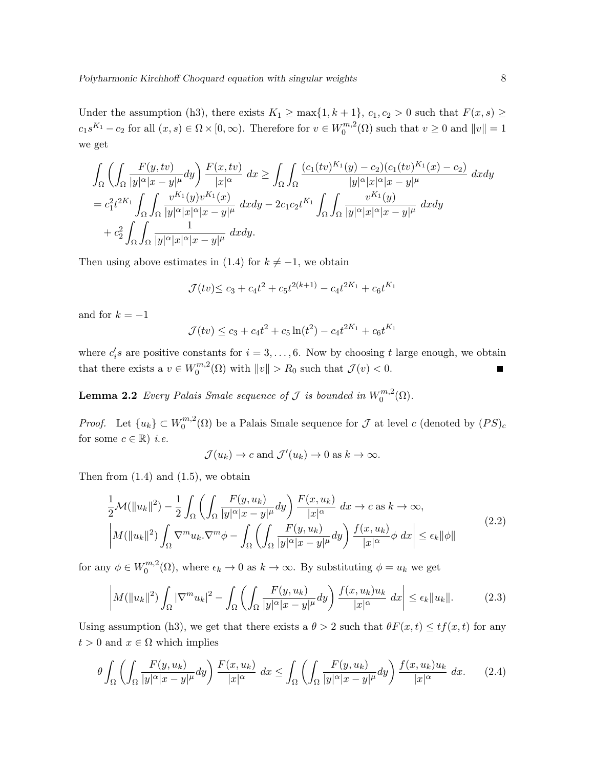Under the assumption (h3), there exists  $K_1 \ge \max\{1, k+1\}$ ,  $c_1, c_2 > 0$  such that  $F(x, s) \ge$  $c_1 s^{K_1} - c_2$  for all  $(x, s) \in \Omega \times [0, \infty)$ . Therefore for  $v \in W_0^{m, 2}$  $0^{m,2}(\Omega)$  such that  $v \geq 0$  and  $||v|| = 1$ we get

$$
\int_{\Omega} \left( \int_{\Omega} \frac{F(y, tv)}{|y|^{\alpha} |x - y|^{\mu}} dy \right) \frac{F(x, tv)}{|x|^{\alpha}} dx \ge \int_{\Omega} \int_{\Omega} \frac{(c_1(tv)^{K_1}(y) - c_2)(c_1(tv)^{K_1}(x) - c_2)}{|y|^{\alpha} |x|^{\alpha} |x - y|^{\mu}} dx dy
$$
\n
$$
= c_1^2 t^{2K_1} \int_{\Omega} \int_{\Omega} \frac{v^{K_1}(y)v^{K_1}(x)}{|y|^{\alpha} |x|^{\alpha} |x - y|^{\mu}} dx dy - 2c_1 c_2 t^{K_1} \int_{\Omega} \int_{\Omega} \frac{v^{K_1}(y)}{|y|^{\alpha} |x|^{\alpha} |x - y|^{\mu}} dx dy
$$
\n
$$
+ c_2^2 \int_{\Omega} \int_{\Omega} \frac{1}{|y|^{\alpha} |x|^{\alpha} |x - y|^{\mu}} dx dy.
$$

Then using above estimates in (1.4) for  $k \neq -1$ , we obtain

$$
\mathcal{J}(tv) \le c_3 + c_4 t^2 + c_5 t^{2(k+1)} - c_4 t^{2K_1} + c_6 t^{K_1}
$$

and for  $k = -1$ 

$$
\mathcal{J}(tv) \le c_3 + c_4 t^2 + c_5 \ln(t^2) - c_4 t^{2K_1} + c_6 t^{K_1}
$$

where  $c_i$ 's are positive constants for  $i = 3, \ldots, 6$ . Now by choosing t large enough, we obtain that there exists a  $v \in W_0^{m,2}$  $\mathbb{R}^{m,2}(0)$  with  $||v|| > R_0$  such that  $\mathcal{J}(v) < 0$ .  $\blacksquare$ 

**Lemma 2.2** Every Palais Smale sequence of J is bounded in  $W_0^{m,2}$  $\binom{m}{0}$ .

*Proof.* Let  $\{u_k\} \subset W_0^{m,2}$  $\binom{m}{0}$  be a Palais Smale sequence for  $\mathcal J$  at level c (denoted by  $(PS)_c$ for some  $c \in \mathbb{R}$ ) *i.e.* 

$$
\mathcal{J}(u_k) \to c
$$
 and  $\mathcal{J}'(u_k) \to 0$  as  $k \to \infty$ .

Then from  $(1.4)$  and  $(1.5)$ , we obtain

$$
\frac{1}{2}\mathcal{M}(\|u_k\|^2) - \frac{1}{2} \int_{\Omega} \left( \int_{\Omega} \frac{F(y, u_k)}{|y|^{\alpha} |x - y|^{\mu}} dy \right) \frac{F(x, u_k)}{|x|^{\alpha}} dx \to c \text{ as } k \to \infty,
$$
\n
$$
\left| M(\|u_k\|^2) \int_{\Omega} \nabla^m u_k \cdot \nabla^m \phi - \int_{\Omega} \left( \int_{\Omega} \frac{F(y, u_k)}{|y|^{\alpha} |x - y|^{\mu}} dy \right) \frac{f(x, u_k)}{|x|^{\alpha}} \phi \, dx \right| \le \epsilon_k \|\phi\| \tag{2.2}
$$

for any  $\phi \in W_0^{m,2}$  $0^{m,2}(\Omega)$ , where  $\epsilon_k \to 0$  as  $k \to \infty$ . By substituting  $\phi = u_k$  we get

$$
\left| M(\|u_k\|^2) \int_{\Omega} |\nabla^m u_k|^2 - \int_{\Omega} \left( \int_{\Omega} \frac{F(y, u_k)}{|y|^\alpha |x - y|^\mu} dy \right) \frac{f(x, u_k) u_k}{|x|^\alpha} dx \right| \le \epsilon_k \|u_k\|. \tag{2.3}
$$

Using assumption (h3), we get that there exists a  $\theta > 2$  such that  $\theta F(x, t) \leq tf(x, t)$  for any  $t > 0$  and  $x \in \Omega$  which implies

$$
\theta \int_{\Omega} \left( \int_{\Omega} \frac{F(y, u_k)}{|y|^{\alpha} |x - y|^{\mu}} dy \right) \frac{F(x, u_k)}{|x|^{\alpha}} dx \le \int_{\Omega} \left( \int_{\Omega} \frac{F(y, u_k)}{|y|^{\alpha} |x - y|^{\mu}} dy \right) \frac{f(x, u_k) u_k}{|x|^{\alpha}} dx. \tag{2.4}
$$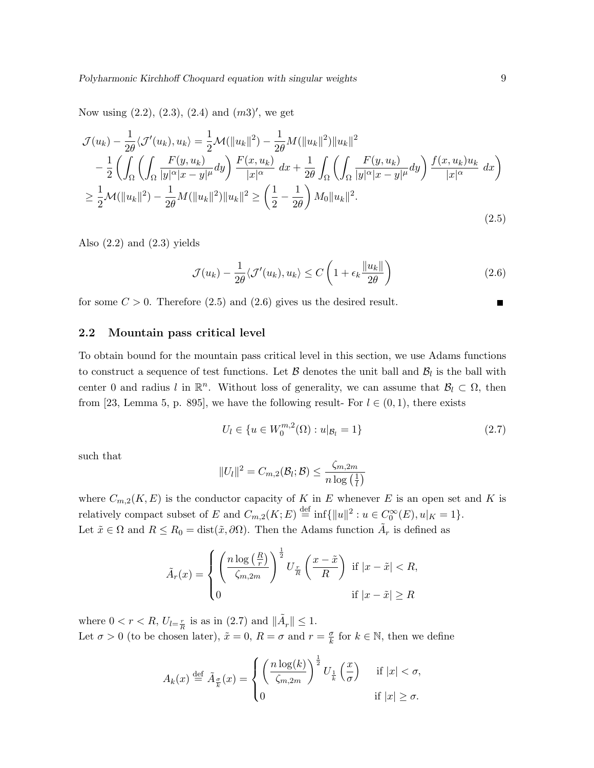Now using  $(2.2), (2.3), (2.4)$  and  $(m3)'$ , we get

$$
\mathcal{J}(u_k) - \frac{1}{2\theta} \langle \mathcal{J}'(u_k), u_k \rangle = \frac{1}{2} \mathcal{M}(\|u_k\|^2) - \frac{1}{2\theta} \mathcal{M}(\|u_k\|^2) \|u_k\|^2 \n- \frac{1}{2} \left( \int_{\Omega} \left( \int_{\Omega} \frac{F(y, u_k)}{|y|^{\alpha} |x - y|^{\mu}} dy \right) \frac{F(x, u_k)}{|x|^{\alpha}} dx + \frac{1}{2\theta} \int_{\Omega} \left( \int_{\Omega} \frac{F(y, u_k)}{|y|^{\alpha} |x - y|^{\mu}} dy \right) \frac{f(x, u_k) u_k}{|x|^{\alpha}} dx \right) \n\geq \frac{1}{2} \mathcal{M}(\|u_k\|^2) - \frac{1}{2\theta} \mathcal{M}(\|u_k\|^2) \|u_k\|^2 \geq \left( \frac{1}{2} - \frac{1}{2\theta} \right) \mathcal{M}_0 \|u_k\|^2.
$$
\n(2.5)

Also  $(2.2)$  and  $(2.3)$  yields

$$
\mathcal{J}(u_k) - \frac{1}{2\theta} \langle \mathcal{J}'(u_k), u_k \rangle \le C \left( 1 + \epsilon_k \frac{\|u_k\|}{2\theta} \right) \tag{2.6}
$$

for some  $C > 0$ . Therefore  $(2.5)$  and  $(2.6)$  gives us the desired result.

#### 2.2 Mountain pass critical level

To obtain bound for the mountain pass critical level in this section, we use Adams functions to construct a sequence of test functions. Let  $\mathcal B$  denotes the unit ball and  $\mathcal B_l$  is the ball with center 0 and radius l in  $\mathbb{R}^n$ . Without loss of generality, we can assume that  $\mathcal{B}_l \subset \Omega$ , then from [23, Lemma 5, p. 895], we have the following result- For  $l \in (0,1)$ , there exists

$$
U_l \in \{ u \in W_0^{m,2}(\Omega) : u|_{\mathcal{B}_l} = 1 \}
$$
\n(2.7)

such that

$$
\|U_l\|^2 = C_{m,2}(\mathcal{B}_l;\mathcal{B}) \leq \frac{\zeta_{m,2m}}{n\log\left(\frac{1}{l}\right)}
$$

where  $C_{m,2}(K, E)$  is the conductor capacity of K in E whenever E is an open set and K is relatively compact subset of E and  $C_{m,2}(K; E) \stackrel{\text{def}}{=} \inf \{ ||u||^2 : u \in C_0^{\infty}(E), u|_K = 1 \}.$ Let  $\tilde{x} \in \Omega$  and  $R \leq R_0 = \text{dist}(\tilde{x}, \partial \Omega)$ . Then the Adams function  $\tilde{A}_r$  is defined as

$$
\tilde{A}_r(x) = \begin{cases} \left(\frac{n\log\left(\frac{R}{r}\right)}{\zeta_{m,2m}}\right)^{\frac{1}{2}} U_{\frac{r}{R}}\left(\frac{x-\tilde{x}}{R}\right) & \text{if } |x-\tilde{x}| < R, \\ 0 & \text{if } |x-\tilde{x}| \ge R \end{cases}
$$

where  $0 < r < R$ ,  $U_{l=\frac{r}{R}}$  is as in (2.7) and  $\|\tilde{A}_r\| \leq 1$ . Let  $\sigma > 0$  (to be chosen later),  $\tilde{x} = 0$ ,  $R = \sigma$  and  $r = \frac{\sigma}{k}$  $\frac{\sigma}{k}$  for  $k \in \mathbb{N}$ , then we define

$$
A_k(x) \stackrel{\text{def}}{=} \tilde{A}_{\frac{\sigma}{k}}(x) = \begin{cases} \left(\frac{n\log(k)}{\zeta_{m,2m}}\right)^{\frac{1}{2}} U_{\frac{1}{k}}\left(\frac{x}{\sigma}\right) & \text{if } |x| < \sigma, \\ 0 & \text{if } |x| \ge \sigma. \end{cases}
$$

 $\blacksquare$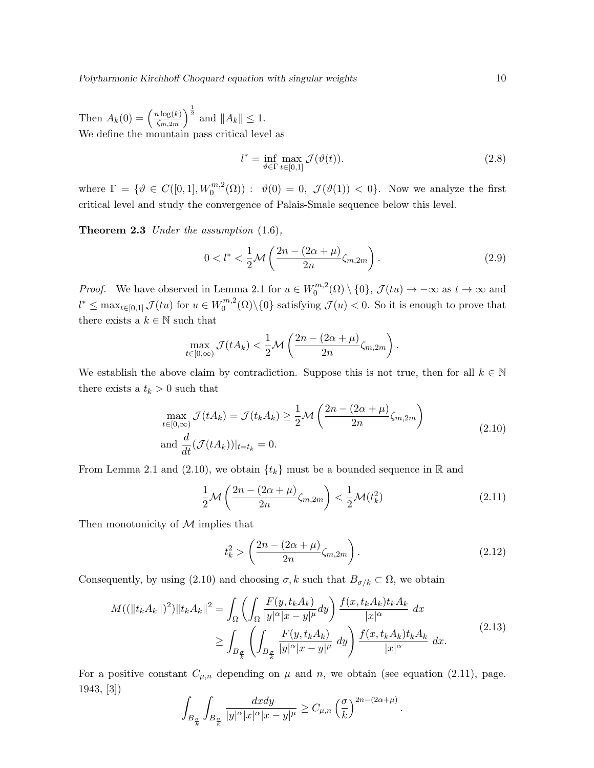Then  $A_k(0) = \left(\frac{n \log(k)}{\zeta_{m-2m}}\right)$  $\frac{n \log(k)}{\zeta_{m,2m}}\Big)^{\frac{1}{2}}$  and  $||A_k|| \leq 1$ . We define the mountain pass critical level as

$$
l^* = \inf_{\vartheta \in \Gamma} \max_{t \in [0,1]} \mathcal{J}(\vartheta(t)).
$$
\n(2.8)

where  $\Gamma = \{ \vartheta \in C([0,1], W_0^{m,2}(\Omega)) : \vartheta(0) = 0, \mathcal{J}(\vartheta(1)) < 0 \}.$  Now we analyze the first critical level and study the convergence of Palais-Smale sequence below this level.

Theorem 2.3 Under the assumption  $(1.6)$ ,

$$
0 < l^* < \frac{1}{2} \mathcal{M}\left(\frac{2n - (2\alpha + \mu)}{2n} \zeta_{m,2m}\right). \tag{2.9}
$$

*Proof.* We have observed in Lemma 2.1 for  $u \in W_0^{m,2}$  $0 \n\longrightarrow_{0}^{\infty}(\Omega) \setminus \{0\}, \mathcal{J}(tu) \to -\infty \text{ as } t \to \infty \text{ and}$  $l^* \leq \max_{t \in [0,1]} \mathcal{J}(tu)$  for  $u \in W_0^{m,2}$  $0^{m,2}(\Omega)\setminus\{0\}$  satisfying  $\mathcal{J}(u) < 0$ . So it is enough to prove that there exists a  $k \in \mathbb{N}$  such that

$$
\max_{t\in[0,\infty)} \mathcal{J}(tA_k) < \frac{1}{2}\mathcal{M}\left(\frac{2n-(2\alpha+\mu)}{2n}\zeta_{m,2m}\right).
$$

We establish the above claim by contradiction. Suppose this is not true, then for all  $k \in \mathbb{N}$ there exists a  $t_k > 0$  such that

$$
\max_{t \in [0,\infty)} \mathcal{J}(tA_k) = \mathcal{J}(t_k A_k) \ge \frac{1}{2} \mathcal{M}\left(\frac{2n - (2\alpha + \mu)}{2n} \zeta_{m,2m}\right)
$$
\n
$$
\text{and } \frac{d}{dt}(\mathcal{J}(tA_k))|_{t=t_k} = 0.
$$
\n(2.10)

From Lemma 2.1 and (2.10), we obtain  $\{t_k\}$  must be a bounded sequence in R and

$$
\frac{1}{2}\mathcal{M}\left(\frac{2n-(2\alpha+\mu)}{2n}\zeta_{m,2m}\right) < \frac{1}{2}\mathcal{M}(t_k^2) \tag{2.11}
$$

Then monotonicity of  $\mathcal M$  implies that

$$
t_k^2 > \left(\frac{2n - (2\alpha + \mu)}{2n} \zeta_{m,2m}\right). \tag{2.12}
$$

Consequently, by using (2.10) and choosing  $\sigma$ , k such that  $B_{\sigma/k} \subset \Omega$ , we obtain

$$
M((\|t_k A_k\|)^2)\|t_k A_k\|^2 = \int_{\Omega} \left( \int_{\Omega} \frac{F(y, t_k A_k)}{|y|^{\alpha} |x - y|^{\mu}} dy \right) \frac{f(x, t_k A_k) t_k A_k}{|x|^{\alpha}} dx
$$
  

$$
\geq \int_{B_{\frac{\sigma}{k}}} \left( \int_{B_{\frac{\sigma}{k}}} \frac{F(y, t_k A_k)}{|y|^{\alpha} |x - y|^{\mu}} dy \right) \frac{f(x, t_k A_k) t_k A_k}{|x|^{\alpha}} dx.
$$
 (2.13)

For a positive constant  $C_{\mu,n}$  depending on  $\mu$  and n, we obtain (see equation (2.11), page. 1943, [3])

$$
\int_{B_{\frac{\sigma}{k}}}\int_{B_{\frac{\sigma}{k}}}\frac{dxdy}{|y|^{\alpha}|x|^{\alpha}|x-y|^{\mu}}\geq C_{\mu,n}\left(\frac{\sigma}{k}\right)^{2n-(2\alpha+\mu)}.
$$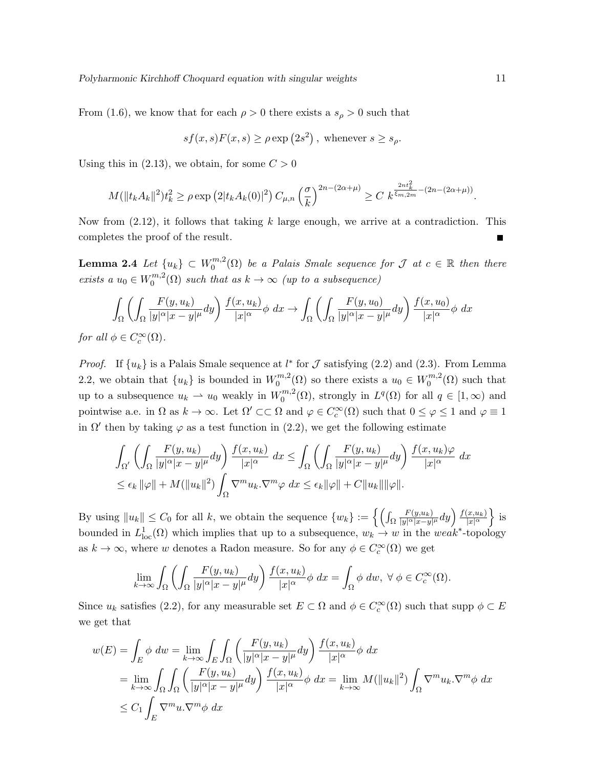From (1.6), we know that for each  $\rho > 0$  there exists a  $s_{\rho} > 0$  such that

$$
sf(x,s)F(x,s) \ge \rho \exp(2s^2), \text{ whenever } s \ge s_{\rho}.
$$

Using this in  $(2.13)$ , we obtain, for some  $C > 0$ 

$$
M(\|t_k A_k\|^2) t_k^2 \ge \rho \exp\left(2|t_k A_k(0)|^2\right) C_{\mu,n} \left(\frac{\sigma}{k}\right)^{2n - (2\alpha + \mu)} \ge C k^{\frac{2nt_k^2}{\xi_{m,2m}} - (2n - (2\alpha + \mu))}.
$$

Now from  $(2.12)$ , it follows that taking k large enough, we arrive at a contradiction. This completes the proof of the result.

Lemma 2.4  $\emph{Let}~\{u_k\}~\subset~W^{m,2}_0$  $\mathcal{O}_0^{m,2}(\Omega)$  be a Palais Smale sequence for  $\mathcal J$  at  $c \in \mathbb R$  then there exists a  $u_0 \in W_0^{m,2}$  $\binom{m}{0}$  such that as  $k \to \infty$  (up to a subsequence)

$$
\int_{\Omega} \left( \int_{\Omega} \frac{F(y, u_k)}{|y|^{\alpha} |x - y|^{\mu}} dy \right) \frac{f(x, u_k)}{|x|^{\alpha}} \phi \ dx \to \int_{\Omega} \left( \int_{\Omega} \frac{F(y, u_0)}{|y|^{\alpha} |x - y|^{\mu}} dy \right) \frac{f(x, u_0)}{|x|^{\alpha}} \phi \ dx
$$

for all  $\phi \in C_c^{\infty}(\Omega)$ .

*Proof.* If  $\{u_k\}$  is a Palais Smale sequence at  $l^*$  for  $\mathcal J$  satisfying (2.2) and (2.3). From Lemma 2.2, we obtain that  $\{u_k\}$  is bounded in  $W_0^{m,2}$  $u_0^{m,2}(\Omega)$  so there exists a  $u_0 \in W_0^{m,2}$  $\binom{m}{0}$  such that up to a subsequence  $u_k \rightharpoonup u_0$  weakly in  $W_0^{m,2}$  $L^{m,2}(\Omega)$ , strongly in  $L^q(\Omega)$  for all  $q \in [1,\infty)$  and pointwise a.e. in  $\Omega$  as  $k \to \infty$ . Let  $\Omega' \subset\subset \Omega$  and  $\varphi \in C_c^{\infty}(\Omega)$  such that  $0 \leq \varphi \leq 1$  and  $\varphi \equiv 1$ in  $\Omega'$  then by taking  $\varphi$  as a test function in (2.2), we get the following estimate

$$
\int_{\Omega'} \left( \int_{\Omega} \frac{F(y, u_k)}{|y|^{\alpha} |x - y|^{\mu}} dy \right) \frac{f(x, u_k)}{|x|^{\alpha}} dx \le \int_{\Omega} \left( \int_{\Omega} \frac{F(y, u_k)}{|y|^{\alpha} |x - y|^{\mu}} dy \right) \frac{f(x, u_k)\varphi}{|x|^{\alpha}} dx
$$
  

$$
\le \epsilon_k ||\varphi|| + M(||u_k||^2) \int_{\Omega} \nabla^m u_k. \nabla^m \varphi dx \le \epsilon_k ||\varphi|| + C ||u_k|| ||\varphi||.
$$

By using  $||u_k|| \leq C_0$  for all k, we obtain the sequence  $\{w_k\} := \{ \int_{\Omega}$  $F(y,u_k)$  $\frac{F(y,u_k)}{|y|^\alpha|x-y|^\mu}dy\Big)\frac{f(x,u_k)}{|x|^\alpha}$  $\frac{(x,u_k)}{|x|^\alpha}$  is bounded in  $L^1_{loc}(\Omega)$  which implies that up to a subsequence,  $w_k \to w$  in the weak<sup>\*</sup>-topology as  $k \to \infty$ , where w denotes a Radon measure. So for any  $\phi \in C_c^{\infty}(\Omega)$  we get

$$
\lim_{k \to \infty} \int_{\Omega} \left( \int_{\Omega} \frac{F(y, u_k)}{|y|^{\alpha} |x - y|^{\mu}} dy \right) \frac{f(x, u_k)}{|x|^{\alpha}} \phi \, dx = \int_{\Omega} \phi \, dw, \ \forall \ \phi \in C_c^{\infty}(\Omega).
$$

Since  $u_k$  satisfies (2.2), for any measurable set  $E \subset \Omega$  and  $\phi \in C_c^{\infty}(\Omega)$  such that supp  $\phi \subset E$ we get that

$$
w(E) = \int_{E} \phi \, dw = \lim_{k \to \infty} \int_{E} \int_{\Omega} \left( \frac{F(y, u_k)}{|y|^{\alpha} |x - y|^{\mu}} dy \right) \frac{f(x, u_k)}{|x|^{\alpha}} \phi \, dx
$$
  
\n
$$
= \lim_{k \to \infty} \int_{\Omega} \int_{\Omega} \left( \frac{F(y, u_k)}{|y|^{\alpha} |x - y|^{\mu}} dy \right) \frac{f(x, u_k)}{|x|^{\alpha}} \phi \, dx = \lim_{k \to \infty} M(||u_k||^2) \int_{\Omega} \nabla^m u_k \cdot \nabla^m \phi \, dx
$$
  
\n
$$
\leq C_1 \int_{E} \nabla^m u \cdot \nabla^m \phi \, dx
$$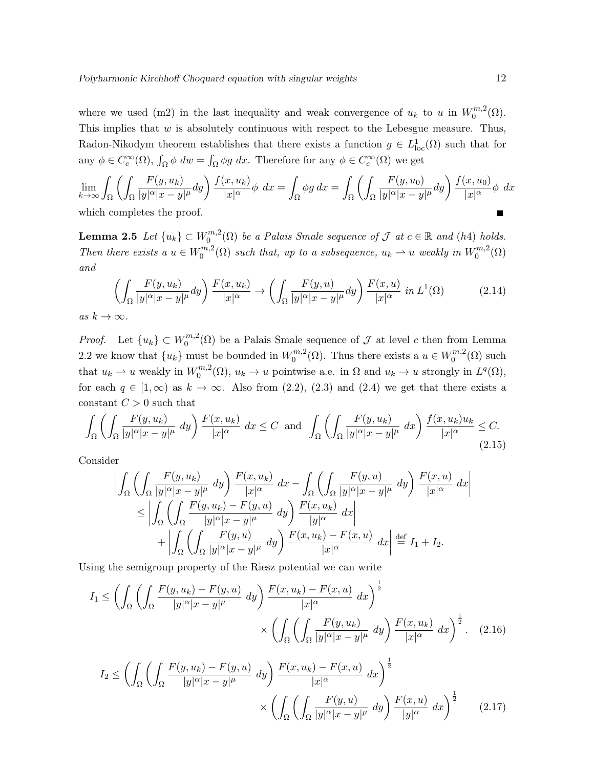where we used (m2) in the last inequality and weak convergence of  $u_k$  to u in  $W_0^{m,2}$  $\binom{m,2}{0}$ . This implies that  $w$  is absolutely continuous with respect to the Lebesgue measure. Thus, Radon-Nikodym theorem establishes that there exists a function  $g \in L^1_{loc}(\Omega)$  such that for any  $\phi \in C_c^{\infty}(\Omega)$ ,  $\int_{\Omega} \phi \, dw = \int_{\Omega} \phi g \, dx$ . Therefore for any  $\phi \in C_c^{\infty}(\Omega)$  we get

$$
\lim_{k \to \infty} \int_{\Omega} \left( \int_{\Omega} \frac{F(y, u_k)}{|y|^{\alpha} |x - y|^{\mu}} dy \right) \frac{f(x, u_k)}{|x|^{\alpha}} \phi \, dx = \int_{\Omega} \phi g \, dx = \int_{\Omega} \left( \int_{\Omega} \frac{F(y, u_0)}{|y|^{\alpha} |x - y|^{\mu}} dy \right) \frac{f(x, u_0)}{|x|^{\alpha}} \phi \, dx
$$
\nwhich completes the proof.

which completes the proof.

 ${\rm \bf Lemma ~2.5 } \;\; Let \; \{u_k\} \subset W^{m,2}_0$  $\mathcal{O}_0^{m,2}(\Omega)$  be a Palais Smale sequence of  $\mathcal J$  at  $c \in \mathbb R$  and (h4) holds. Then there exists a  $u \in W_0^{m,2}$  $\mathcal{L}_0^{m,2}(\Omega)$  such that, up to a subsequence,  $u_k \rightharpoonup u$  weakly in  $W_0^{m,2}$  $C_0^{m,z}(\Omega)$ and

$$
\left(\int_{\Omega} \frac{F(y, u_k)}{|y|^{\alpha} |x - y|^{\mu}} dy\right) \frac{F(x, u_k)}{|x|^{\alpha}} \to \left(\int_{\Omega} \frac{F(y, u)}{|y|^{\alpha} |x - y|^{\mu}} dy\right) \frac{F(x, u)}{|x|^{\alpha}} in L^{1}(\Omega)
$$
\n(2.14)

as  $k \to \infty$ .

*Proof.* Let  $\{u_k\} \subset W_0^{m,2}$  $\mathcal{O}_0^{m,2}(\Omega)$  be a Palais Smale sequence of  $\mathcal J$  at level c then from Lemma 2.2 we know that  $\{u_k\}$  must be bounded in  $W_0^{m,2}$  $\binom{m}{0}$ , Thus there exists a  $u \in W_0^{m,2}$  $0^{m,2}(\Omega)$  such that  $u_k \rightharpoonup u$  weakly in  $W_0^{m,2}$  $u_0^{m,2}(\Omega)$ ,  $u_k \to u$  pointwise a.e. in  $\Omega$  and  $u_k \to u$  strongly in  $L^q(\Omega)$ , for each  $q \in [1,\infty)$  as  $k \to \infty$ . Also from (2.2), (2.3) and (2.4) we get that there exists a constant  $C > 0$  such that

$$
\int_{\Omega} \left( \int_{\Omega} \frac{F(y, u_k)}{|y|^{\alpha} |x - y|^{\mu}} dy \right) \frac{F(x, u_k)}{|x|^{\alpha}} dx \le C \text{ and } \int_{\Omega} \left( \int_{\Omega} \frac{F(y, u_k)}{|y|^{\alpha} |x - y|^{\mu}} dx \right) \frac{f(x, u_k) u_k}{|x|^{\alpha}} \le C. \tag{2.15}
$$

Consider

$$
\left| \int_{\Omega} \left( \int_{\Omega} \frac{F(y, u_k)}{|y|^{\alpha} |x - y|^{\mu}} dy \right) \frac{F(x, u_k)}{|x|^{\alpha}} dx - \int_{\Omega} \left( \int_{\Omega} \frac{F(y, u)}{|y|^{\alpha} |x - y|^{\mu}} dy \right) \frac{F(x, u)}{|x|^{\alpha}} dx \right|
$$
  
\n
$$
\leq \left| \int_{\Omega} \left( \int_{\Omega} \frac{F(y, u_k) - F(y, u)}{|y|^{\alpha} |x - y|^{\mu}} dy \right) \frac{F(x, u_k)}{|y|^{\alpha}} dx \right|
$$
  
\n
$$
+ \left| \int_{\Omega} \left( \int_{\Omega} \frac{F(y, u)}{|y|^{\alpha} |x - y|^{\mu}} dy \right) \frac{F(x, u_k) - F(x, u)}{|x|^{\alpha}} dx \right| \stackrel{\text{def}}{=} I_1 + I_2.
$$

Using the semigroup property of the Riesz potential we can write

$$
I_1 \leq \left(\int_{\Omega} \left(\int_{\Omega} \frac{F(y, u_k) - F(y, u)}{|y|^{\alpha} |x - y|^{\mu}} dy\right) \frac{F(x, u_k) - F(x, u)}{|x|^{\alpha}} dx\right)^{\frac{1}{2}} \times \left(\int_{\Omega} \left(\int_{\Omega} \frac{F(y, u_k)}{|y|^{\alpha} |x - y|^{\mu}} dy\right) \frac{F(x, u_k)}{|x|^{\alpha}} dx\right)^{\frac{1}{2}}.
$$
 (2.16)

$$
I_2 \le \left(\int_{\Omega} \left(\int_{\Omega} \frac{F(y, u_k) - F(y, u)}{|y|^{\alpha} |x - y|^{\mu}} dy\right) \frac{F(x, u_k) - F(x, u)}{|x|^{\alpha}} dx\right)^{\frac{1}{2}} \times \left(\int_{\Omega} \left(\int_{\Omega} \frac{F(y, u)}{|y|^{\alpha} |x - y|^{\mu}} dy\right) \frac{F(x, u)}{|y|^{\alpha}} dx\right)^{\frac{1}{2}} \tag{2.17}
$$

 $\bigg\}$  $\bigg\}$  $\Big\}$  $\overline{\phantom{a}}$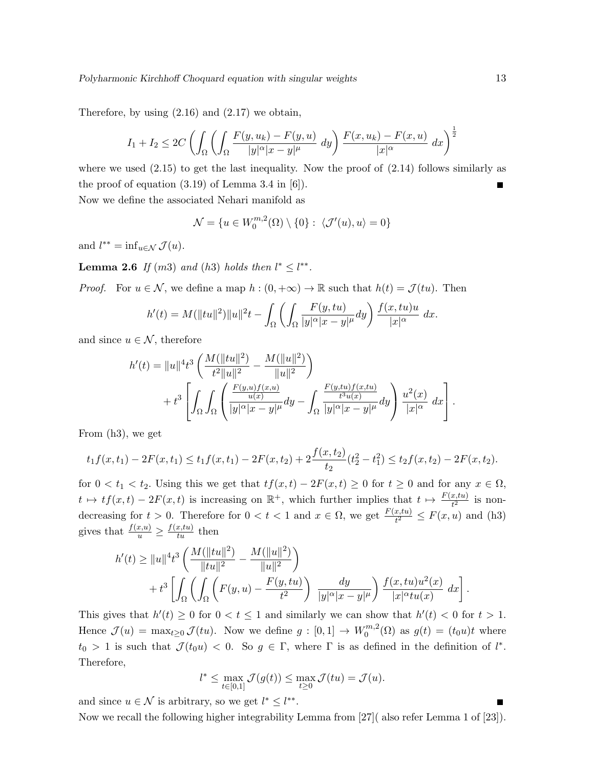Therefore, by using  $(2.16)$  and  $(2.17)$  we obtain,

$$
I_1 + I_2 \le 2C \left( \int_{\Omega} \left( \int_{\Omega} \frac{F(y, u_k) - F(y, u)}{|y|^{\alpha} |x - y|^{\mu}} dy \right) \frac{F(x, u_k) - F(x, u)}{|x|^{\alpha}} dx \right)^{\frac{1}{2}}
$$

where we used  $(2.15)$  to get the last inequality. Now the proof of  $(2.14)$  follows similarly as the proof of equation  $(3.19)$  of Lemma 3.4 in [6]).  $\blacksquare$ 

Now we define the associated Nehari manifold as

$$
\mathcal{N} = \{u \in W_0^{m,2}(\Omega) \setminus \{0\} : \langle \mathcal{J}'(u), u \rangle = 0\}
$$

and  $l^{**} = \inf_{u \in \mathcal{N}} \mathcal{J}(u)$ .

**Lemma 2.6** If  $(m3)$  and  $(h3)$  holds then  $l^* \leq l^{**}$ .

*Proof.* For  $u \in \mathcal{N}$ , we define a map  $h : (0, +\infty) \to \mathbb{R}$  such that  $h(t) = \mathcal{J}(tu)$ . Then

$$
h'(t) = M(||tu||2)||u||2t - \int_{\Omega} \left( \int_{\Omega} \frac{F(y, tu)}{|y|^{\alpha} |x - y|^{\mu}} dy \right) \frac{f(x, tu)u}{|x|^{\alpha}} dx.
$$

and since  $u \in \mathcal{N}$ , therefore

$$
h'(t) = ||u||^{4} t^{3} \left( \frac{M(||tu||^{2})}{t^{2}||u||^{2}} - \frac{M(||u||^{2})}{||u||^{2}} \right) + t^{3} \left[ \int_{\Omega} \int_{\Omega} \left( \frac{\frac{F(y,u)f(x,u)}{u(x)}}{|y|^{\alpha}|x-y|^{\mu}} dy - \int_{\Omega} \frac{\frac{F(y,tu)f(x,tu)}{t^{3}u(x)}}{|y|^{\alpha}|x-y|^{\mu}} dy \right) \frac{u^{2}(x)}{|x|^{\alpha}} dx \right].
$$

From (h3), we get

$$
t_1 f(x, t_1) - 2F(x, t_1) \le t_1 f(x, t_1) - 2F(x, t_2) + 2\frac{f(x, t_2)}{t_2}(t_2^2 - t_1^2) \le t_2 f(x, t_2) - 2F(x, t_2).
$$

for  $0 < t_1 < t_2$ . Using this we get that  $tf(x,t) - 2F(x,t) \geq 0$  for  $t \geq 0$  and for any  $x \in \Omega$ ,  $t \mapsto tf(x,t) - 2F(x,t)$  is increasing on  $\mathbb{R}^+$ , which further implies that  $t \mapsto \frac{F(x,tu)}{t^2}$  is nondecreasing for  $t > 0$ . Therefore for  $0 < t < 1$  and  $x \in \Omega$ , we get  $\frac{F(x, tu)}{t^2} \leq F(x, u)$  and (h3) gives that  $\frac{f(x,u)}{u} \geq \frac{f(x,tu)}{tu}$  then

$$
h'(t) \ge ||u||^4 t^3 \left( \frac{M(||tu||^2)}{||tu||^2} - \frac{M(||u||^2)}{||u||^2} \right) + t^3 \left[ \int_{\Omega} \left( \int_{\Omega} \left( F(y, u) - \frac{F(y, tu)}{t^2} \right) \frac{dy}{|y|^{\alpha} |x - y|^{\mu}} \right) \frac{f(x, tu)u^2(x)}{|x|^{\alpha} tu(x)} dx \right]
$$

This gives that  $h'(t) \geq 0$  for  $0 < t \leq 1$  and similarly we can show that  $h'(t) < 0$  for  $t > 1$ . Hence  $\mathcal{J}(u) = \max_{t \geq 0} \mathcal{J}(tu)$ . Now we define  $g : [0,1] \to W_0^{m,2}$  $j_0^{m,2}(\Omega)$  as  $g(t) = (t_0u)t$  where  $t_0 > 1$  is such that  $\mathcal{J}(t_0u) < 0$ . So  $g \in \Gamma$ , where  $\Gamma$  is as defined in the definition of  $l^*$ . Therefore,

$$
l^* \leq \max_{t \in [0,1]} \mathcal{J}(g(t)) \leq \max_{t \geq 0} \mathcal{J}(tu) = \mathcal{J}(u).
$$

and since  $u \in \mathcal{N}$  is arbitrary, so we get  $l^* \leq l^{**}$ .

Now we recall the following higher integrability Lemma from [27]( also refer Lemma 1 of [23]).

.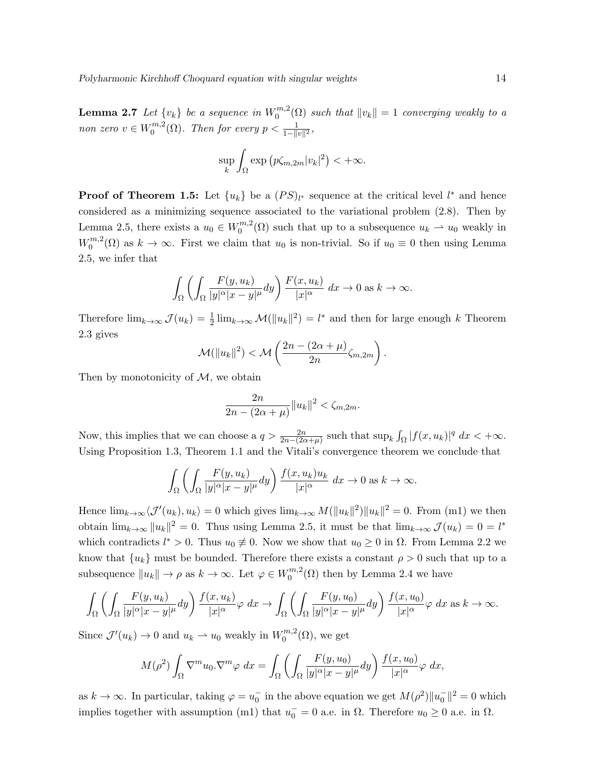${\bf Lemma}$  2.7 Let  $\{v_k\}$  be a sequence in  $W_0^{m,2}$  $\binom{m}{0}$  such that  $||v_k|| = 1$  converging weakly to a non zero  $v \in W_0^{m,2}$  $\sum_{0}^{m,2}(\Omega)$ . Then for every  $p < \frac{1}{1 - ||v||^2}$ ,

$$
\sup_{k} \int_{\Omega} \exp (p\zeta_{m,2m} |v_{k}|^{2}) < +\infty.
$$

**Proof of Theorem 1.5:** Let  $\{u_k\}$  be a  $(PS)_{l^*}$  sequence at the critical level  $l^*$  and hence considered as a minimizing sequence associated to the variational problem (2.8). Then by Lemma 2.5, there exists a  $u_0 \in W_0^{m,2}$  $\binom{m}{0}$  such that up to a subsequence  $u_k \rightharpoonup u_0$  weakly in  $W_0^{m,2}$  $\binom{m}{0}$  as  $k \to \infty$ . First we claim that  $u_0$  is non-trivial. So if  $u_0 \equiv 0$  then using Lemma 2.5, we infer that

$$
\int_{\Omega} \left( \int_{\Omega} \frac{F(y, u_k)}{|y|^{\alpha} |x - y|^{\mu}} dy \right) \frac{F(x, u_k)}{|x|^{\alpha}} dx \to 0 \text{ as } k \to \infty.
$$

Therefore  $\lim_{k\to\infty} \mathcal{J}(u_k) = \frac{1}{2} \lim_{k\to\infty} \mathcal{M}(\|u_k\|^2) = l^*$  and then for large enough k Theorem 2.3 gives

$$
\mathcal{M}(\|u_k\|^2) < \mathcal{M}\left(\frac{2n - (2\alpha + \mu)}{2n}\zeta_{m,2m}\right).
$$

Then by monotonicity of  $M$ , we obtain

$$
\frac{2n}{2n - (2\alpha + \mu)} \|u_k\|^2 < \zeta_{m, 2m}.
$$

Now, this implies that we can choose a  $q > \frac{2n}{2n-(2\alpha+\mu)}$  such that  $\sup_k \int_{\Omega} |f(x,u_k)|^q dx < +\infty$ . Using Proposition 1.3, Theorem 1.1 and the Vitali's convergence theorem we conclude that

$$
\int_{\Omega} \left( \int_{\Omega} \frac{F(y, u_k)}{|y|^{\alpha} |x - y|^{\mu}} dy \right) \frac{f(x, u_k) u_k}{|x|^{\alpha}} dx \to 0 \text{ as } k \to \infty.
$$

Hence  $\lim_{k\to\infty}\langle \mathcal{J}'(u_k), u_k\rangle = 0$  which gives  $\lim_{k\to\infty} M(\|u_k\|^2)\|u_k\|^2 = 0$ . From (m1) we then obtain  $\lim_{k\to\infty} ||u_k||^2 = 0$ . Thus using Lemma 2.5, it must be that  $\lim_{k\to\infty} \mathcal{J}(u_k) = 0 = l^*$ which contradicts  $l^* > 0$ . Thus  $u_0 \neq 0$ . Now we show that  $u_0 \geq 0$  in  $\Omega$ . From Lemma 2.2 we know that  $\{u_k\}$  must be bounded. Therefore there exists a constant  $\rho > 0$  such that up to a subsequence  $||u_k|| \to \rho$  as  $k \to \infty$ . Let  $\varphi \in W_0^{m,2}$  $0^{m,2}(\Omega)$  then by Lemma 2.4 we have

$$
\int_{\Omega} \left( \int_{\Omega} \frac{F(y, u_k)}{|y|^{\alpha} |x - y|^{\mu}} dy \right) \frac{f(x, u_k)}{|x|^{\alpha}} \varphi \, dx \to \int_{\Omega} \left( \int_{\Omega} \frac{F(y, u_0)}{|y|^{\alpha} |x - y|^{\mu}} dy \right) \frac{f(x, u_0)}{|x|^{\alpha}} \varphi \, dx \text{ as } k \to \infty.
$$

Since  $\mathcal{J}'(u_k) \to 0$  and  $u_k \to u_0$  weakly in  $W_0^{m,2}$  $0^{m,2}(\Omega)$ , we get

$$
M(\rho^2) \int_{\Omega} \nabla^m u_0 \cdot \nabla^m \varphi \, dx = \int_{\Omega} \left( \int_{\Omega} \frac{F(y, u_0)}{|y|^{\alpha} |x - y|^{\mu}} dy \right) \frac{f(x, u_0)}{|x|^{\alpha}} \varphi \, dx,
$$

as  $k \to \infty$ . In particular, taking  $\varphi = u_0^-$  in the above equation we get  $M(\rho^2) ||u_0^-||^2 = 0$  which implies together with assumption (m1) that  $u_0^- = 0$  a.e. in  $\Omega$ . Therefore  $u_0 \ge 0$  a.e. in  $\Omega$ .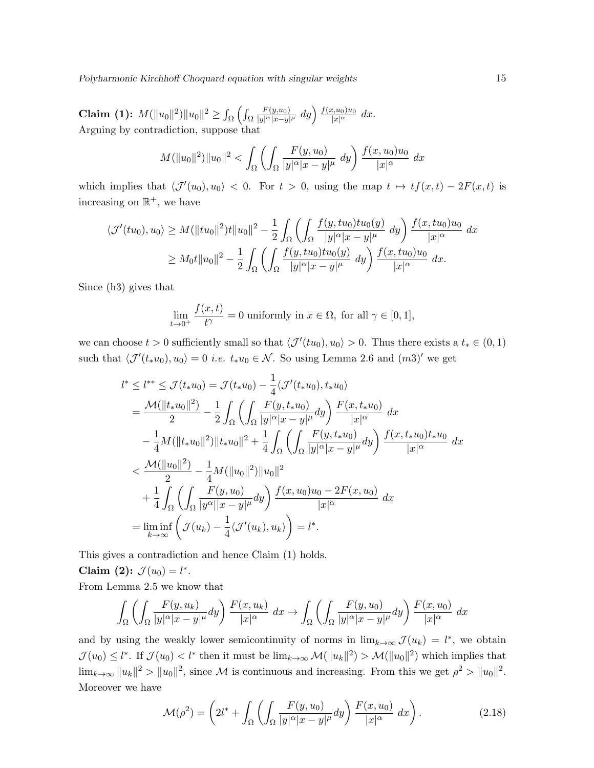Polyharmonic Kirchhoff Choquard equation with singular weights 15

Claim (1):  $M(\|u_0\|^2)\|u_0\|^2 \geq \int_\Omega \left(\int_\Omega$  $F(y,u_0)$  $\frac{F(y,u_0)}{|y|^{\alpha} |x-y|^{\mu}} dy \bigg) \frac{f(x,u_0)u_0}{|x|^{\alpha}} dx.$ Arguing by contradiction, suppose that

$$
M(\|u_0\|^2)\|u_0\|^2 < \int_{\Omega} \left( \int_{\Omega} \frac{F(y, u_0)}{|y|^{\alpha}|x - y|^{\mu}} dy \right) \frac{f(x, u_0)u_0}{|x|^{\alpha}} dx
$$

which implies that  $\langle \mathcal{J}'(u_0), u_0 \rangle < 0$ . For  $t > 0$ , using the map  $t \mapsto tf(x, t) - 2F(x, t)$  is increasing on  $\mathbb{R}^+$ , we have

$$
\langle \mathcal{J}'(tu_0), u_0 \rangle \ge M(\|tu_0\|^2)t \|u_0\|^2 - \frac{1}{2} \int_{\Omega} \left( \int_{\Omega} \frac{f(y, tu_0)tu_0(y)}{|y|^{\alpha} |x - y|^{\mu}} dy \right) \frac{f(x, tu_0)u_0}{|x|^{\alpha}} dx
$$
  
 
$$
\ge M_0 t \|u_0\|^2 - \frac{1}{2} \int_{\Omega} \left( \int_{\Omega} \frac{f(y, tu_0)tu_0(y)}{|y|^{\alpha} |x - y|^{\mu}} dy \right) \frac{f(x, tu_0)u_0}{|x|^{\alpha}} dx.
$$

Since (h3) gives that

$$
\lim_{t \to 0^+} \frac{f(x,t)}{t^{\gamma}} = 0
$$
 uniformly in  $x \in \Omega$ , for all  $\gamma \in [0,1]$ ,

we can choose  $t > 0$  sufficiently small so that  $\langle \mathcal{J}'(tu_0), u_0 \rangle > 0$ . Thus there exists a  $t_* \in (0, 1)$ such that  $\langle \mathcal{J}'(t_*u_0), u_0 \rangle = 0$  *i.e.*  $t_*u_0 \in \mathcal{N}$ . So using Lemma 2.6 and  $(m3)'$  we get

$$
l^* \leq l^{**} \leq \mathcal{J}(t_* u_0) = \mathcal{J}(t_* u_0) - \frac{1}{4} \langle \mathcal{J}'(t_* u_0), t_* u_0 \rangle
$$
  
\n
$$
= \frac{\mathcal{M}(\|t_* u_0\|^2)}{2} - \frac{1}{2} \int_{\Omega} \left( \int_{\Omega} \frac{F(y, t_* u_0)}{|y|^{\alpha} |x - y|^{\mu}} dy \right) \frac{F(x, t_* u_0)}{|x|^{\alpha}} dx
$$
  
\n
$$
- \frac{1}{4} M(\|t_* u_0\|^2) \|t_* u_0\|^2 + \frac{1}{4} \int_{\Omega} \left( \int_{\Omega} \frac{F(y, t_* u_0)}{|y|^{\alpha} |x - y|^{\mu}} dy \right) \frac{f(x, t_* u_0) t_* u_0}{|x|^{\alpha}} dx
$$
  
\n
$$
< \frac{\mathcal{M}(\|u_0\|^2)}{2} - \frac{1}{4} M(\|u_0\|^2) \|u_0\|^2
$$
  
\n
$$
+ \frac{1}{4} \int_{\Omega} \left( \int_{\Omega} \frac{F(y, u_0)}{|y^{\alpha} |x - y|^{\mu}} dy \right) \frac{f(x, u_0) u_0 - 2F(x, u_0)}{|x|^{\alpha}} dx
$$
  
\n
$$
= \liminf_{k \to \infty} \left( \mathcal{J}(u_k) - \frac{1}{4} \langle \mathcal{J}'(u_k), u_k \rangle \right) = l^*.
$$

This gives a contradiction and hence Claim (1) holds.

Claim (2):  $\mathcal{J}(u_0) = l^*$ . From Lemma 2.5 we know that

$$
\int_{\Omega} \left( \int_{\Omega} \frac{F(y, u_k)}{|y|^{\alpha} |x - y|^{\mu}} dy \right) \frac{F(x, u_k)}{|x|^{\alpha}} dx \rightarrow \int_{\Omega} \left( \int_{\Omega} \frac{F(y, u_0)}{|y|^{\alpha} |x - y|^{\mu}} dy \right) \frac{F(x, u_0)}{|x|^{\alpha}} dx
$$

and by using the weakly lower semicontinuity of norms in  $\lim_{k\to\infty} \mathcal{J}(u_k) = l^*$ , we obtain  $\mathcal{J}(u_0) \le l^*$ . If  $\mathcal{J}(u_0) < l^*$  then it must be  $\lim_{k \to \infty} \mathcal{M}(\|u_k\|^2) > \mathcal{M}(\|u_0\|^2)$  which implies that  $\lim_{k\to\infty}||u_k||^2 > ||u_0||^2$ , since M is continuous and increasing. From this we get  $\rho^2 > ||u_0||^2$ . Moreover we have

$$
\mathcal{M}(\rho^2) = \left(2l^* + \int_{\Omega} \left( \int_{\Omega} \frac{F(y, u_0)}{|y|^{\alpha} |x - y|^{\mu}} dy \right) \frac{F(x, u_0)}{|x|^{\alpha}} dx \right). \tag{2.18}
$$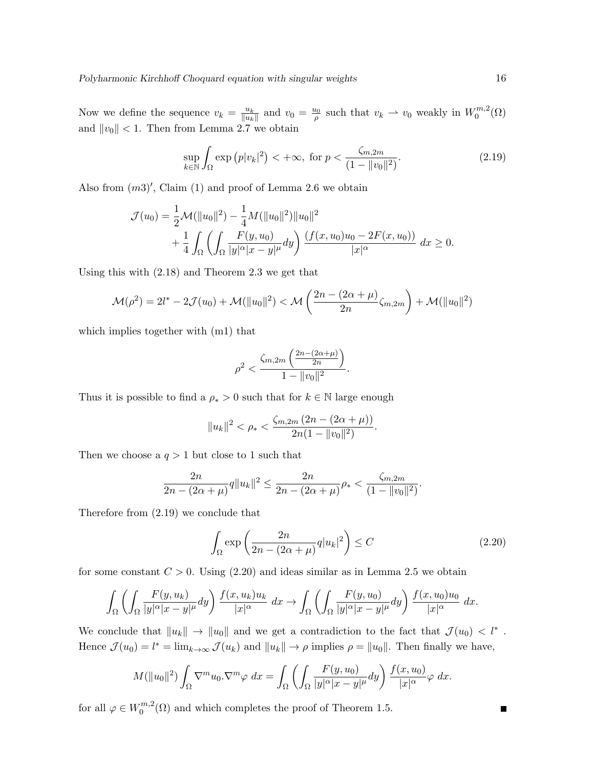Now we define the sequence  $v_k = \frac{u_k}{\|u_k\|}$  $\frac{u_k}{\|u_k\|}$  and  $v_0 = \frac{u_0}{\rho}$  such that  $v_k \to v_0$  weakly in  $W_0^{m,2}$  $C_0^{m,z}(\Omega)$ and  $||v_0|| < 1$ . Then from Lemma 2.7 we obtain

$$
\sup_{k \in \mathbb{N}} \int_{\Omega} \exp (p|v_k|^2) < +\infty, \text{ for } p < \frac{\zeta_{m,2m}}{(1 - \|v_0\|^2)}. \tag{2.19}
$$

Also from  $(m3)'$ , Claim  $(1)$  and proof of Lemma 2.6 we obtain

$$
\mathcal{J}(u_0) = \frac{1}{2} \mathcal{M}(\|u_0\|^2) - \frac{1}{4} \mathcal{M}(\|u_0\|^2) \|u_0\|^2 + \frac{1}{4} \int_{\Omega} \left( \int_{\Omega} \frac{F(y, u_0)}{|y|^{\alpha} |x - y|^{\mu}} dy \right) \frac{(f(x, u_0)u_0 - 2F(x, u_0))}{|x|^{\alpha}} dx \ge 0.
$$

Using this with (2.18) and Theorem 2.3 we get that

$$
\mathcal{M}(\rho^2) = 2l^* - 2\mathcal{J}(u_0) + \mathcal{M}(\|u_0\|^2) < \mathcal{M}\left(\frac{2n - (2\alpha + \mu)}{2n}\zeta_{m,2m}\right) + \mathcal{M}(\|u_0\|^2)
$$

which implies together with (m1) that

$$
\rho^2 < \frac{\zeta_{m,2m} \left( \frac{2n - (2\alpha + \mu)}{2n} \right)}{1 - \|v_0\|^2}.
$$

Thus it is possible to find a  $\rho_* > 0$  such that for  $k \in \mathbb{N}$  large enough

$$
||u_k||^2 < \rho_* < \frac{\zeta_{m,2m} (2n - (2\alpha + \mu))}{2n(1 - ||v_0||^2)}.
$$

Then we choose a  $q > 1$  but close to 1 such that

$$
\frac{2n}{2n - (2\alpha + \mu)} q \|u_k\|^2 \le \frac{2n}{2n - (2\alpha + \mu)} \rho_* < \frac{\zeta_{m, 2m}}{(1 - \|v_0\|^2)}.
$$

Therefore from (2.19) we conclude that

$$
\int_{\Omega} \exp\left(\frac{2n}{2n - (2\alpha + \mu)} q |u_k|^2\right) \le C \tag{2.20}
$$

for some constant  $C > 0$ . Using (2.20) and ideas similar as in Lemma 2.5 we obtain

$$
\int_{\Omega} \left( \int_{\Omega} \frac{F(y, u_k)}{|y|^{\alpha} |x - y|^{\mu}} dy \right) \frac{f(x, u_k) u_k}{|x|^{\alpha}} dx \to \int_{\Omega} \left( \int_{\Omega} \frac{F(y, u_0)}{|y|^{\alpha} |x - y|^{\mu}} dy \right) \frac{f(x, u_0) u_0}{|x|^{\alpha}} dx.
$$

We conclude that  $||u_k|| \to ||u_0||$  and we get a contradiction to the fact that  $\mathcal{J}(u_0) < l^*$ . Hence  $\mathcal{J}(u_0) = l^* = \lim_{k \to \infty} \mathcal{J}(u_k)$  and  $||u_k|| \to \rho$  implies  $\rho = ||u_0||$ . Then finally we have,

$$
M(\|u_0\|^2)\int_{\Omega}\nabla^m u_0.\nabla^m\varphi\ dx = \int_{\Omega}\left(\int_{\Omega}\frac{F(y,u_0)}{|y|^{\alpha}|x-y|^{\mu}}dy\right)\frac{f(x,u_0)}{|x|^{\alpha}}\varphi\ dx.
$$

for all  $\varphi \in W_0^{m,2}$  $0^{m,2}(\Omega)$  and which completes the proof of Theorem 1.5.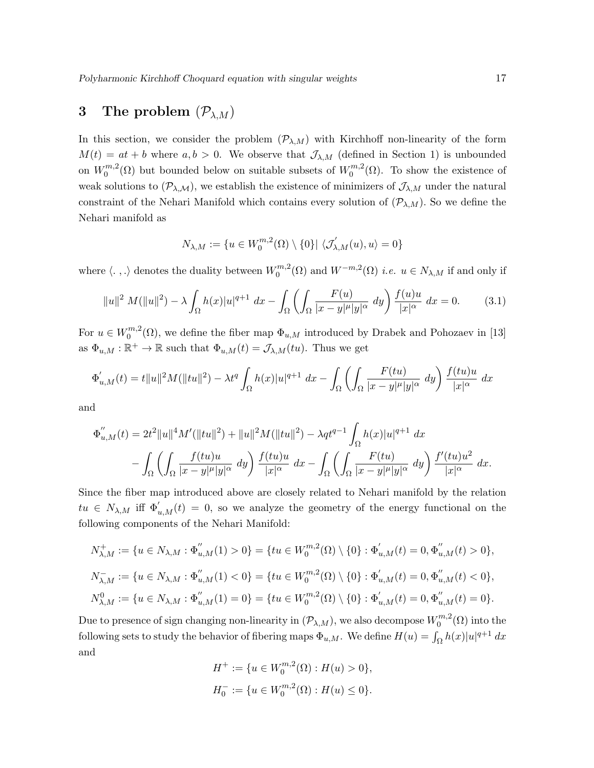# 3 The problem  $(\mathcal{P}_{\lambda,M})$

In this section, we consider the problem  $(\mathcal{P}_{\lambda,M})$  with Kirchhoff non-linearity of the form  $M(t) = at + b$  where  $a, b > 0$ . We observe that  $\mathcal{J}_{\lambda, M}$  (defined in Section 1) is unbounded on  $W_0^{m,2}$  $\binom{m}{0}^{m,2}$  ( $\Omega$ ) but bounded below on suitable subsets of  $W_0^{m,2}$  $0^{m,2}(\Omega)$ . To show the existence of weak solutions to  $(\mathcal{P}_{\lambda,\mathcal{M}})$ , we establish the existence of minimizers of  $\mathcal{J}_{\lambda,M}$  under the natural constraint of the Nehari Manifold which contains every solution of  $(\mathcal{P}_{\lambda,M})$ . So we define the Nehari manifold as

$$
N_{\lambda,M} := \{ u \in W_0^{m,2}(\Omega) \setminus \{0\} | \langle \mathcal{J}'_{\lambda,M}(u), u \rangle = 0 \}
$$

where  $\langle . , . \rangle$  denotes the duality between  $W_0^{m,2}$  $\binom{m}{0}^{m}$  and  $W^{-m,2}(\Omega)$  *i.e.*  $u \in N_{\lambda,M}$  if and only if

$$
||u||^2 M(||u||^2) - \lambda \int_{\Omega} h(x)|u|^{q+1} dx - \int_{\Omega} \left( \int_{\Omega} \frac{F(u)}{|x - y|^{\mu}|y|^{\alpha}} dy \right) \frac{f(u)u}{|x|^{\alpha}} dx = 0.
$$
 (3.1)

For  $u \in W_0^{m,2}$  $\mathbb{R}^{m,2}(\Omega)$ , we define the fiber map  $\Phi_{u,M}$  introduced by Drabek and Pohozaev in [13] as  $\Phi_{u,M} : \mathbb{R}^+ \to \mathbb{R}$  such that  $\Phi_{u,M}(t) = \mathcal{J}_{\lambda,M}(tu)$ . Thus we get

$$
\Phi'_{u,M}(t) = t||u||^2 M(||tu||^2) - \lambda t^q \int_{\Omega} h(x)|u|^{q+1} dx - \int_{\Omega} \left( \int_{\Omega} \frac{F(tu)}{|x-y|^{\mu}|y|^{\alpha}} dy \right) \frac{f(tu)u}{|x|^{\alpha}} dx
$$

and

$$
\Phi_{u,M}''(t) = 2t^2 ||u||^4 M' (||tu||^2) + ||u||^2 M (||tu||^2) - \lambda q t^{q-1} \int_{\Omega} h(x) |u|^{q+1} dx
$$
  

$$
- \int_{\Omega} \left( \int_{\Omega} \frac{f(tu)u}{|x-y|^{\mu} |y|^{\alpha}} dy \right) \frac{f(tu)u}{|x|^{\alpha}} dx - \int_{\Omega} \left( \int_{\Omega} \frac{F(tu)}{|x-y|^{\mu} |y|^{\alpha}} dy \right) \frac{f'(tu)u^2}{|x|^{\alpha}} dx.
$$

Since the fiber map introduced above are closely related to Nehari manifold by the relation  $tu \in N_{\lambda,M}$  iff  $\Phi'_{u,M}(t) = 0$ , so we analyze the geometry of the energy functional on the following components of the Nehari Manifold:

$$
N_{\lambda,M}^+ := \{ u \in N_{\lambda,M} : \Phi_{u,M}''(1) > 0 \} = \{ tu \in W_0^{m,2}(\Omega) \setminus \{ 0 \} : \Phi_{u,M}'(t) = 0, \Phi_{u,M}''(t) > 0 \},
$$
  

$$
N_{\lambda,M}^- := \{ u \in N_{\lambda,M} : \Phi_{u,M}''(1) < 0 \} = \{ tu \in W_0^{m,2}(\Omega) \setminus \{ 0 \} : \Phi_{u,M}'(t) = 0, \Phi_{u,M}''(t) < 0 \},
$$
  

$$
N_{\lambda,M}^0 := \{ u \in N_{\lambda,M} : \Phi_{u,M}''(1) = 0 \} = \{ tu \in W_0^{m,2}(\Omega) \setminus \{ 0 \} : \Phi_{u,M}'(t) = 0, \Phi_{u,M}''(t) = 0 \}.
$$

Due to presence of sign changing non-linearity in  $(\mathcal{P}_{\lambda,M}),$  we also decompose  $W_0^{m,2}$  $0^{m,2}(\Omega)$  into the following sets to study the behavior of fibering maps  $\Phi_{u,M}$ . We define  $H(u) = \int_{\Omega} h(x)|u|^{q+1} dx$ and

$$
\begin{aligned} H^+&:=\{u\in W^{m,2}_0(\Omega): H(u)>0\},\\ H_0^-&:=\{u\in W^{m,2}_0(\Omega): H(u)\leq 0\}. \end{aligned}
$$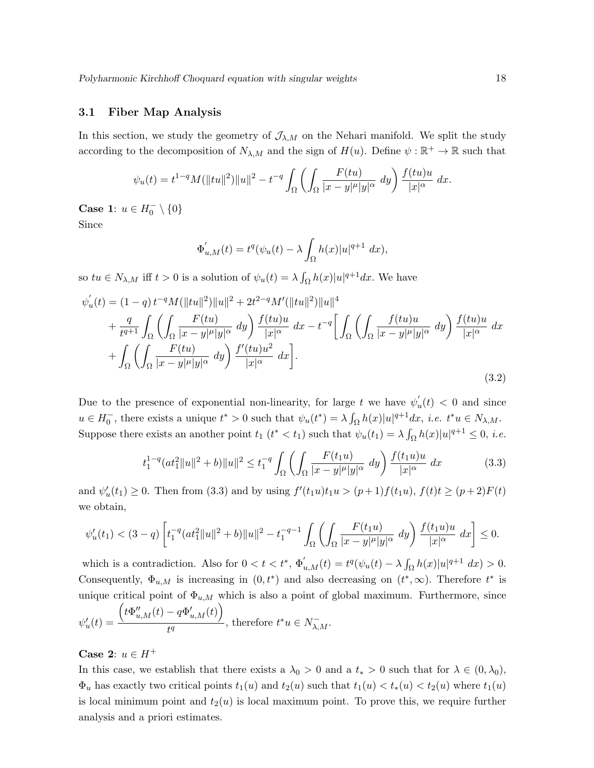#### 3.1 Fiber Map Analysis

In this section, we study the geometry of  $\mathcal{J}_{\lambda,M}$  on the Nehari manifold. We split the study according to the decomposition of  $N_{\lambda,M}$  and the sign of  $H(u)$ . Define  $\psi : \mathbb{R}^+ \to \mathbb{R}$  such that

$$
\psi_u(t) = t^{1-q} M(||tu||^2) ||u||^2 - t^{-q} \int_{\Omega} \left( \int_{\Omega} \frac{F(tu)}{|x - y|^{\mu} |y|^{\alpha}} \ dy \right) \frac{f(tu)u}{|x|^{\alpha}} \ dx.
$$

Case 1:  $u \in H_0^- \setminus \{0\}$ 

Since

$$
\Phi'_{u,M}(t) = t^q(\psi_u(t) - \lambda \int_{\Omega} h(x)|u|^{q+1} dx),
$$

so  $tu \in N_{\lambda,M}$  iff  $t > 0$  is a solution of  $\psi_u(t) = \lambda \int_{\Omega} h(x)|u|^{q+1} dx$ . We have

$$
\psi'_{u}(t) = (1-q) t^{-q} M(||tu||^2) ||u||^2 + 2t^{2-q} M' (||tu||^2) ||u||^4 \n+ \frac{q}{t^{q+1}} \int_{\Omega} \left( \int_{\Omega} \frac{F(tu)}{|x-y|^{\mu}|y|^{\alpha}} dy \right) \frac{f(tu)u}{|x|^{\alpha}} dx - t^{-q} \left[ \int_{\Omega} \left( \int_{\Omega} \frac{f(tu)u}{|x-y|^{\mu}|y|^{\alpha}} dy \right) \frac{f(tu)u}{|x|^{\alpha}} dx \right. \n+ \int_{\Omega} \left( \int_{\Omega} \frac{F(tu)}{|x-y|^{\mu}|y|^{\alpha}} dy \right) \frac{f'(tu)u^2}{|x|^{\alpha}} dx \right].
$$
\n(3.2)

Due to the presence of exponential non-linearity, for large t we have  $\psi'_i$  $\int_u(t)$  < 0 and since  $u \in H_0^-$ , there exists a unique  $t^* > 0$  such that  $\psi_u(t^*) = \lambda \int_{\Omega} h(x)|u|^{q+1} dx$ , *i.e.*  $t^*u \in N_{\lambda,M}$ . Suppose there exists an another point  $t_1$   $(t^* < t_1)$  such that  $\psi_u(t_1) = \lambda \int_{\Omega} h(x)|u|^{q+1} \leq 0$ , *i.e.* 

$$
t_1^{1-q}(at_1^2||u||^2+b)||u||^2 \le t_1^{-q} \int_{\Omega} \left( \int_{\Omega} \frac{F(t_1u)}{|x-y|^{\mu}|y|^{\alpha}} dy \right) \frac{f(t_1u)u}{|x|^{\alpha}} dx \tag{3.3}
$$

and  $\psi'_u(t_1) \ge 0$ . Then from (3.3) and by using  $f'(t_1u)t_1u > (p+1)f(t_1u)$ ,  $f(t)t \ge (p+2)F(t)$ we obtain,

$$
\psi'_u(t_1) < (3-q)\left[ t_1^{-q}(at_1^2 \|u\|^2 + b) \|u\|^2 - t_1^{-q-1} \int_{\Omega} \left( \int_{\Omega} \frac{F(t_1 u)}{|x-y|^{\mu}|y|^{\alpha}} dy \right) \frac{f(t_1 u)u}{|x|^{\alpha}} dx \right] \leq 0.
$$

which is a contradiction. Also for  $0 < t < t^*$ ,  $\Phi'_{u,M}(t) = t^q(\psi_u(t) - \lambda \int_{\Omega} h(x)|u|^{q+1} dx) > 0$ . Consequently,  $\Phi_{u,M}$  is increasing in  $(0,t^*)$  and also decreasing on  $(t^*,\infty)$ . Therefore  $t^*$  is unique critical point of  $\Phi_{u,M}$  which is also a point of global maximum. Furthermore, since  $\psi'_u(t) =$  $\left(t\Phi^{\prime\prime}_{u,M}(t)-q\Phi^{\prime}_{u,M}(t)\right)$  $\frac{t}{t^q}$  therefore  $t^*u \in N_{\lambda,M}^-$ .

#### Case 2:  $u \in H^+$

In this case, we establish that there exists a  $\lambda_0 > 0$  and a  $t_* > 0$  such that for  $\lambda \in (0, \lambda_0)$ ,  $\Phi_u$  has exactly two critical points  $t_1(u)$  and  $t_2(u)$  such that  $t_1(u) < t_*(u) < t_2(u)$  where  $t_1(u)$ is local minimum point and  $t_2(u)$  is local maximum point. To prove this, we require further analysis and a priori estimates.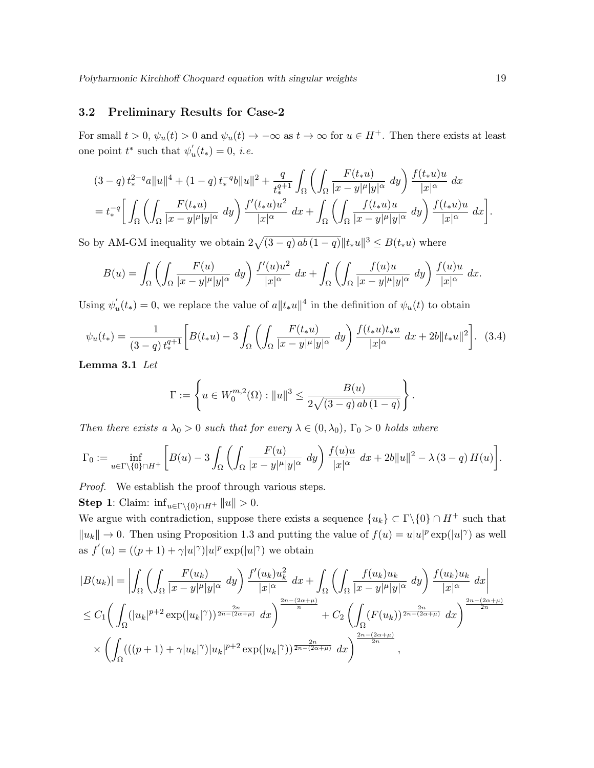#### 3.2 Preliminary Results for Case-2

For small  $t > 0$ ,  $\psi_u(t) > 0$  and  $\psi_u(t) \to -\infty$  as  $t \to \infty$  for  $u \in H^+$ . Then there exists at least one point  $t^*$  such that  $\psi'_i$  $u'(t_*) = 0, i.e.$ 

$$
(3-q) t_*^{2-q} a \|u\|^4 + (1-q) t_*^{q} b \|u\|^2 + \frac{q}{t_*^{q+1}} \int_{\Omega} \left( \int_{\Omega} \frac{F(t_* u)}{|x-y|^{\mu} |y|^{\alpha}} dy \right) \frac{f(t_* u) u}{|x|^{\alpha}} dx
$$
  
=  $t_*^{q} \left[ \int_{\Omega} \left( \int_{\Omega} \frac{F(t_* u)}{|x-y|^{\mu} |y|^{\alpha}} dy \right) \frac{f'(t_* u) u^2}{|x|^{\alpha}} dx + \int_{\Omega} \left( \int_{\Omega} \frac{f(t_* u) u}{|x-y|^{\mu} |y|^{\alpha}} dy \right) \frac{f(t_* u) u}{|x|^{\alpha}} dx \right].$ 

So by AM-GM inequality we obtain  $2\sqrt{(3-q)\,ab(1-q)}\|t_*u\|^3 \leq B(t_*u)$  where

$$
B(u) = \int_{\Omega} \left( \int_{\Omega} \frac{F(u)}{|x - y|^{\mu}|y|^{\alpha}} dy \right) \frac{f'(u)u^2}{|x|^{\alpha}} dx + \int_{\Omega} \left( \int_{\Omega} \frac{f(u)u}{|x - y|^{\mu}|y|^{\alpha}} dy \right) \frac{f(u)u}{|x|^{\alpha}} dx.
$$

Using  $\psi'_i$  $u'_u(t_*) = 0$ , we replace the value of  $a||t_*u||^4$  in the definition of  $\psi_u(t)$  to obtain

$$
\psi_u(t_*) = \frac{1}{(3-q) t_*^{q+1}} \bigg[ B(t_* u) - 3 \int_{\Omega} \left( \int_{\Omega} \frac{F(t_* u)}{|x - y|^{\mu} |y|^{\alpha}} dy \right) \frac{f(t_* u) t_* u}{|x|^{\alpha}} dx + 2b \|t_* u\|^2 \bigg]. \tag{3.4}
$$

Lemma 3.1 Let

$$
\Gamma := \left\{ u \in W_0^{m,2}(\Omega) : ||u||^3 \le \frac{B(u)}{2\sqrt{(3-q)\,ab\,(1-q)}} \right\}
$$

.

Then there exists a  $\lambda_0 > 0$  such that for every  $\lambda \in (0, \lambda_0)$ ,  $\Gamma_0 > 0$  holds where

$$
\Gamma_0 := \inf_{u \in \Gamma \backslash \{0\} \cap H^+} \left[ B(u) - 3 \int_{\Omega} \left( \int_{\Omega} \frac{F(u)}{|x - y|^{\mu} |y|^{\alpha}} dy \right) \frac{f(u)u}{|x|^{\alpha}} dx + 2b ||u||^2 - \lambda (3 - q) H(u) \right].
$$

Proof. We establish the proof through various steps.

**Step 1:** Claim:  $\inf_{u \in \Gamma \backslash \{0\} \cap H^+} ||u|| > 0.$ 

We argue with contradiction, suppose there exists a sequence  $\{u_k\} \subset \Gamma \backslash \{0\} \cap H^+$  such that  $||u_k|| \to 0$ . Then using Proposition 1.3 and putting the value of  $f(u) = u|u|^p \exp(|u|^\gamma)$  as well as  $f'(u) = ((p+1) + \gamma |u|^\gamma)|u|^p \exp(|u|^\gamma)$  we obtain

$$
|B(u_k)| = \left| \int_{\Omega} \left( \int_{\Omega} \frac{F(u_k)}{|x - y|^{\mu} |y|^{\alpha}} dy \right) \frac{f'(u_k) u_k^2}{|x|^{\alpha}} dx + \int_{\Omega} \left( \int_{\Omega} \frac{f(u_k) u_k}{|x - y|^{\mu} |y|^{\alpha}} dy \right) \frac{f(u_k) u_k}{|x|^{\alpha}} dx \right|
$$
  

$$
\leq C_1 \left( \int_{\Omega} (|u_k|^{p+2} \exp(|u_k|^{\gamma}))^{\frac{2n}{2n - (2\alpha + \mu)}} dx \right)^{\frac{2n - (2\alpha + \mu)}{n}} + C_2 \left( \int_{\Omega} (F(u_k))^{\frac{2n}{2n - (2\alpha + \mu)}} dx \right)^{\frac{2n - (2\alpha + \mu)}{2n}}
$$
  

$$
\times \left( \int_{\Omega} ((p+1) + \gamma |u_k|^{\gamma}) |u_k|^{p+2} \exp(|u_k|^{\gamma}))^{\frac{2n}{2n - (2\alpha + \mu)}} dx \right)^{\frac{2n - (2\alpha + \mu)}{2n}},
$$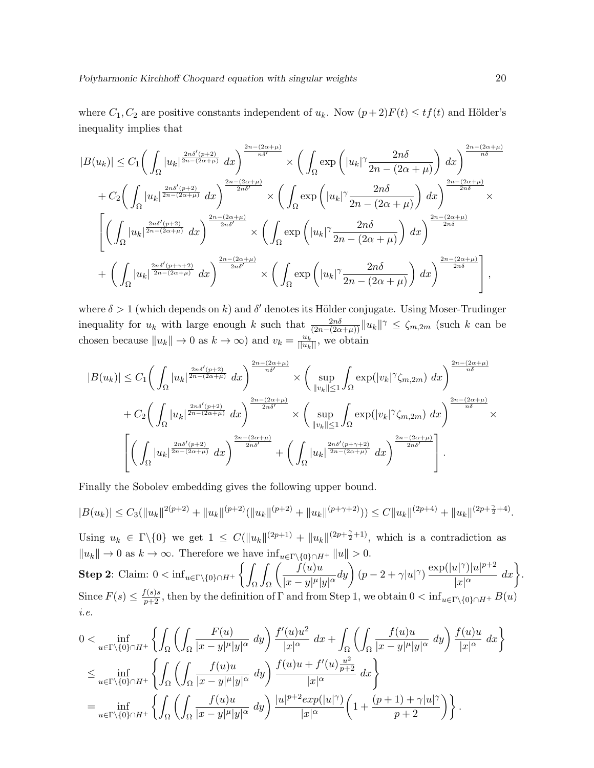where  $C_1, C_2$  are positive constants independent of  $u_k$ . Now  $(p+2)F(t) \leq tf(t)$  and Hölder's inequality implies that

$$
|B(u_k)| \leq C_1 \left( \int_{\Omega} |u_k|^{\frac{2n\delta'(p+2)}{2n-(2\alpha+\mu)}} dx \right)^{\frac{2n-(2\alpha+\mu)}{n\delta'}} \times \left( \int_{\Omega} \exp\left( |u_k|^{\gamma} \frac{2n\delta}{2n - (2\alpha+\mu)} \right) dx \right)^{\frac{2n-(2\alpha+\mu)}{n\delta}}
$$
  
+ 
$$
C_2 \left( \int_{\Omega} |u_k|^{\frac{2n\delta'(p+2)}{2n-(2\alpha+\mu)}} dx \right)^{\frac{2n-(2\alpha+\mu)}{2n\delta'}} \times \left( \int_{\Omega} \exp\left( |u_k|^{\gamma} \frac{2n\delta}{2n - (2\alpha+\mu)} \right) dx \right)^{\frac{2n-(2\alpha+\mu)}{2n\delta}} \times
$$
  

$$
\left[ \left( \int_{\Omega} |u_k|^{\frac{2n\delta'(p+2)}{2n-(2\alpha+\mu)}} dx \right)^{\frac{2n-(2\alpha+\mu)}{2n\delta'}} \times \left( \int_{\Omega} \exp\left( |u_k|^{\gamma} \frac{2n\delta}{2n - (2\alpha+\mu)} \right) dx \right)^{\frac{2n-(2\alpha+\mu)}{2n\delta}}
$$
  
+ 
$$
\left( \int_{\Omega} |u_k|^{\frac{2n\delta'(p+\gamma+2)}{2n-(2\alpha+\mu)}} dx \right)^{\frac{2n-(2\alpha+\mu)}{2n\delta'}} \times \left( \int_{\Omega} \exp\left( |u_k|^{\gamma} \frac{2n\delta}{2n - (2\alpha+\mu)} \right) dx \right)^{\frac{2n-(2\alpha+\mu)}{2n\delta}}
$$

where  $\delta > 1$  (which depends on k) and  $\delta'$  denotes its Hölder conjugate. Using Moser-Trudinger inequality for  $u_k$  with large enough k such that  $\frac{2n\delta}{(2n-(2\alpha+\mu))}\|u_k\|^{\gamma} \leq \zeta_{m,2m}$  (such k can be chosen because  $||u_k|| \to 0$  as  $k \to \infty$ ) and  $v_k = \frac{u_k}{||u_k||}$ , we obtain

$$
|B(u_k)| \leq C_1 \bigg(\int_{\Omega} |u_k|^{\frac{2n\delta'(p+2)}{2n-(2\alpha+\mu)}} dx\bigg)^{\frac{2n-(2\alpha+\mu)}{n\delta'}} \times \bigg(\sup_{\|v_k\|\leq 1} \int_{\Omega} \exp(|v_k|^\gamma \zeta_{m,2m}) dx\bigg)^{\frac{2n-(2\alpha+\mu)}{n\delta}}
$$
  
+ 
$$
C_2 \bigg(\int_{\Omega} |u_k|^{\frac{2n\delta'(p+2)}{2n-(2\alpha+\mu)}} dx\bigg)^{\frac{2n-(2\alpha+\mu)}{2n\delta'}} \times \bigg(\sup_{\|v_k\|\leq 1} \int_{\Omega} \exp(|v_k|^\gamma \zeta_{m,2m}) dx\bigg)^{\frac{2n-(2\alpha+\mu)}{n\delta}} \times \bigg(\sup_{\|v_k\|\leq 1} \int_{\Omega} \exp(|v_k|^\gamma \zeta_{m,2m}) dx\bigg)^{\frac{2n-(2\alpha+\mu)}{n\delta}} \times \bigg(\int_{\Omega} |u_k|^{\frac{2n\delta'(p+2)}{2n-(2\alpha+\mu)}} dx\bigg)^{\frac{2n-(2\alpha+\mu)}{2n\delta'}} + \bigg(\int_{\Omega} |u_k|^{\frac{2n\delta'(p+\gamma+2)}{2n-(2\alpha+\mu)}} dx\bigg)^{\frac{2n-(2\alpha+\mu)}{2n\delta'}}\bigg].
$$

Finally the Sobolev embedding gives the following upper bound.

$$
|B(u_k)| \leq C_3(||u_k||^{2(p+2)} + ||u_k||^{(p+2)}(||u_k||^{(p+2)} + ||u_k||^{(p+\gamma+2)})) \leq C||u_k||^{(2p+4)} + ||u_k||^{(2p+\frac{\gamma}{2}+4)}.
$$

Using  $u_k \in \Gamma \backslash \{0\}$  we get  $1 \leq C(||u_k||^{(2p+1)} + ||u_k||^{(2p+\frac{\gamma}{2}+1)}$ , which is a contradiction as  $||u_k|| \to 0$  as  $k \to \infty$ . Therefore we have  $\inf_{u \in \Gamma \setminus \{0\} \cap H^+} ||u|| > 0$ . **Step 2:** Claim:  $0 < \inf_{u \in \Gamma \setminus \{0\} \cap H^+} \left\{ \left. \right/ \right\}$ Ω Z Ω  $\int$   $f(u)u$  $\frac{f(u)u}{|x-y|^{\mu}|y|^{\alpha}}dy\bigg)(p-2+\gamma|u|^{\gamma})\frac{\exp(|u|^{\gamma})|u|^{p+2}}{|x|^{\alpha}}$  $\frac{|u|^{\gamma}| |u|^{p+2}}{|x|^{\alpha}} dx$ . Since  $F(s) \leq \frac{f(s)s}{p+2}$ , then by the definition of  $\Gamma$  and from Step 1, we obtain  $0 < \inf_{u \in \Gamma \setminus \{0\} \cap H^+} B(u)$ i.e.

$$
0 < \inf_{u \in \Gamma \backslash \{0\} \cap H^{+}} \left\{ \int_{\Omega} \left( \int_{\Omega} \frac{F(u)}{|x - y|^{\mu} |y|^{\alpha}} dy \right) \frac{f'(u)u^{2}}{|x|^{\alpha}} dx + \int_{\Omega} \left( \int_{\Omega} \frac{f(u)u}{|x - y|^{\mu} |y|^{\alpha}} dy \right) \frac{f(u)u}{|x|^{\alpha}} dx \right\} \n\leq \inf_{u \in \Gamma \backslash \{0\} \cap H^{+}} \left\{ \int_{\Omega} \left( \int_{\Omega} \frac{f(u)u}{|x - y|^{\mu} |y|^{\alpha}} dy \right) \frac{f(u)u + f'(u) \frac{u^{2}}{p+2}}{|x|^{\alpha}} dx \right\} \n= \inf_{u \in \Gamma \backslash \{0\} \cap H^{+}} \left\{ \int_{\Omega} \left( \int_{\Omega} \frac{f(u)u}{|x - y|^{\mu} |y|^{\alpha}} dy \right) \frac{|u|^{p+2} exp(|u|^{\gamma})}{|x|^{\alpha}} \left( 1 + \frac{(p+1) + \gamma |u|^{\gamma}}{p+2} \right) \right\}.
$$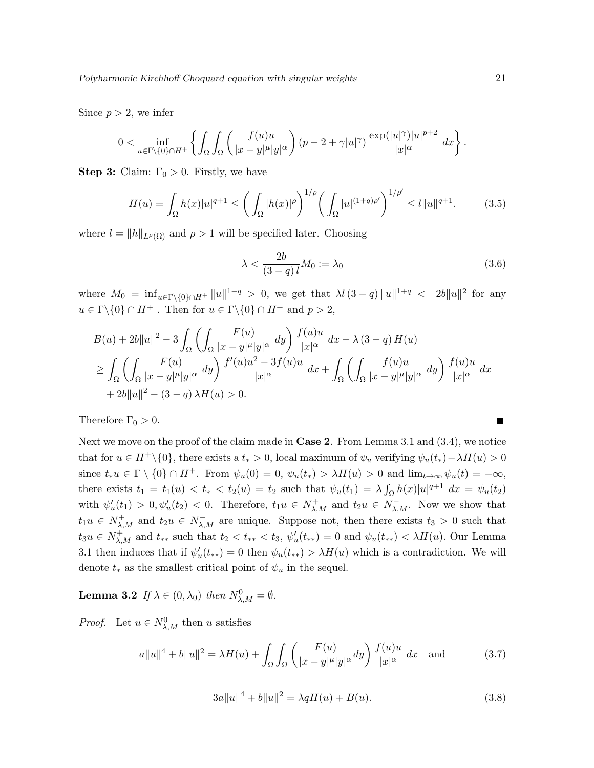Polyharmonic Kirchhoff Choquard equation with singular weights 21

Since  $p > 2$ , we infer

$$
0 < \inf_{u \in \Gamma \backslash \{0\} \cap H^+} \left\{ \int_{\Omega} \int_{\Omega} \left( \frac{f(u)u}{|x - y|^{\mu} |y|^{\alpha}} \right) (p - 2 + \gamma |u|^{\gamma}) \frac{\exp(|u|^{\gamma}) |u|^{p+2}}{|x|^{\alpha}} dx \right\}.
$$

**Step 3:** Claim:  $\Gamma_0 > 0$ . Firstly, we have

$$
H(u) = \int_{\Omega} h(x)|u|^{q+1} \le \left(\int_{\Omega} |h(x)|^{\rho}\right)^{1/\rho} \left(\int_{\Omega} |u|^{(1+q)\rho'}\right)^{1/\rho'} \le l\|u\|^{q+1}.\tag{3.5}
$$

where  $l = ||h||_{L^{\rho}(\Omega)}$  and  $\rho > 1$  will be specified later. Choosing

$$
\lambda < \frac{2b}{(3-q)l} M_0 := \lambda_0 \tag{3.6}
$$

where  $M_0 = \inf_{u \in \Gamma \backslash \{0\} \cap H^+} ||u||^{1-q} > 0$ , we get that  $\lambda l (3-q) ||u||^{1+q} < 2b ||u||^2$  for any  $u \in \Gamma \backslash \{0\} \cap H^+$ . Then for  $u \in \Gamma \backslash \{0\} \cap H^+$  and  $p > 2$ ,

$$
B(u) + 2b||u||2 - 3\int_{\Omega} \left( \int_{\Omega} \frac{F(u)}{|x - y|^{\mu}|y|^{\alpha}} dy \right) \frac{f(u)u}{|x|^{\alpha}} dx - \lambda (3 - q) H(u)
$$
  
\n
$$
\geq \int_{\Omega} \left( \int_{\Omega} \frac{F(u)}{|x - y|^{\mu}|y|^{\alpha}} dy \right) \frac{f'(u)u^{2} - 3f(u)u}{|x|^{\alpha}} dx + \int_{\Omega} \left( \int_{\Omega} \frac{f(u)u}{|x - y|^{\mu}|y|^{\alpha}} dy \right) \frac{f(u)u}{|x|^{\alpha}} dx
$$
  
\n
$$
+ 2b||u||2 - (3 - q) \lambda H(u) > 0.
$$

Therefore  $\Gamma_0 > 0$ .

Next we move on the proof of the claim made in **Case 2**. From Lemma 3.1 and  $(3.4)$ , we notice that for  $u \in H^+\backslash\{0\}$ , there exists a  $t_* > 0$ , local maximum of  $\psi_u$  verifying  $\psi_u(t_*) - \lambda H(u) > 0$ since  $t_*u \in \Gamma \setminus \{0\} \cap H^+$ . From  $\psi_u(0) = 0$ ,  $\psi_u(t_*) > \lambda H(u) > 0$  and  $\lim_{t \to \infty} \psi_u(t) = -\infty$ , there exists  $t_1 = t_1(u) < t_* < t_2(u) = t_2$  such that  $\psi_u(t_1) = \lambda \int_{\Omega} h(x) |u|^{q+1} dx = \psi_u(t_2)$ with  $\psi'_u(t_1) > 0, \psi'_u(t_2) < 0$ . Therefore,  $t_1u \in N^+_{\lambda,M}$  and  $t_2u \in N^-_{\lambda,M}$ . Now we show that  $t_1u \in N^+_{\lambda,M}$  and  $t_2u \in N^-_{\lambda,M}$  are unique. Suppose not, then there exists  $t_3 > 0$  such that  $t_3u \in N^+_{\lambda,M}$  and  $t_{**}$  such that  $t_2 < t_{**} < t_3$ ,  $\psi'_u(t_{**}) = 0$  and  $\psi_u(t_{**}) < \lambda H(u)$ . Our Lemma 3.1 then induces that if  $\psi'_u(t_{**}) = 0$  then  $\psi_u(t_{**}) > \lambda H(u)$  which is a contradiction. We will denote  $t_*$  as the smallest critical point of  $\psi_u$  in the sequel.

**Lemma 3.2** If  $\lambda \in (0, \lambda_0)$  then  $N^0_{\lambda, M} = \emptyset$ .

*Proof.* Let  $u \in N^0_{\lambda,M}$  then u satisfies

$$
a||u||4 + b||u||2 = \lambda H(u) + \int_{\Omega} \int_{\Omega} \left( \frac{F(u)}{|x - y|^{\mu}|y|^{\alpha}} dy \right) \frac{f(u)u}{|x|^{\alpha}} dx \text{ and } (3.7)
$$

$$
3a||u||^4 + b||u||^2 = \lambda qH(u) + B(u). \tag{3.8}
$$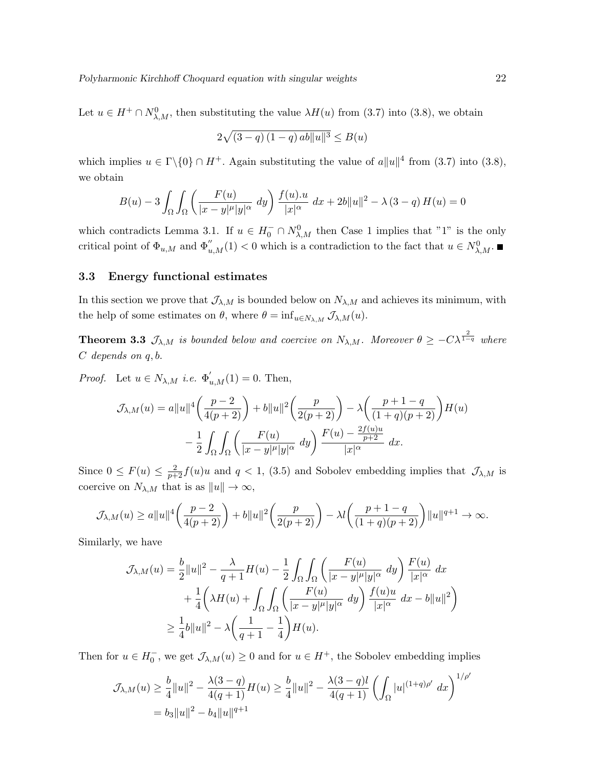Polyharmonic Kirchhoff Choquard equation with singular weights 22

Let  $u \in H^+ \cap N^0_{\lambda,M}$ , then substituting the value  $\lambda H(u)$  from (3.7) into (3.8), we obtain

$$
2\sqrt{(3-q)(1-q)\,ab\|u\|^3} \le B(u)
$$

which implies  $u \in \Gamma \backslash \{0\} \cap H^+$ . Again substituting the value of  $a||u||^4$  from (3.7) into (3.8), we obtain

$$
B(u) - 3 \int_{\Omega} \int_{\Omega} \left( \frac{F(u)}{|x - y|^{\mu} |y|^{\alpha}} dy \right) \frac{f(u) \cdot u}{|x|^{\alpha}} dx + 2b ||u||^{2} - \lambda (3 - q) H(u) = 0
$$

which contradicts Lemma 3.1. If  $u \in H_0^- \cap N_{\lambda,M}^0$  then Case 1 implies that "1" is the only critical point of  $\Phi_{u,M}$  and  $\Phi''_{u,M}(1) < 0$  which is a contradiction to the fact that  $u \in N^0_{\lambda,M}$ .

#### 3.3 Energy functional estimates

In this section we prove that  $\mathcal{J}_{\lambda,M}$  is bounded below on  $N_{\lambda,M}$  and achieves its minimum, with the help of some estimates on  $\theta$ , where  $\theta = \inf_{u \in N_{\lambda,M}} \mathcal{J}_{\lambda,M}(u)$ .

**Theorem 3.3**  $\mathcal{J}_{\lambda,M}$  is bounded below and coercive on  $N_{\lambda,M}$ . Moreover  $\theta \geq -C\lambda^{\frac{2}{1-q}}$  where C depends on q, b.

*Proof.* Let  $u \in N_{\lambda,M}$  *i.e.*  $\Phi'_{u,M}(1) = 0$ . Then,

$$
\mathcal{J}_{\lambda,M}(u) = a||u||^4 \left(\frac{p-2}{4(p+2)}\right) + b||u||^2 \left(\frac{p}{2(p+2)}\right) - \lambda \left(\frac{p+1-q}{(1+q)(p+2)}\right)H(u) \n- \frac{1}{2} \int_{\Omega} \int_{\Omega} \left(\frac{F(u)}{|x-y|^{\mu}|y|^{\alpha}} dy\right) \frac{F(u) - \frac{2f(u)u}{p+2}}{|x|^{\alpha}} dx.
$$

Since  $0 \le F(u) \le \frac{2}{p+2} f(u)u$  and  $q < 1$ , (3.5) and Sobolev embedding implies that  $\mathcal{J}_{\lambda,M}$  is coercive on  $N_{\lambda,M}$  that is as  $||u|| \to \infty$ ,

$$
\mathcal{J}_{\lambda,M}(u) \ge a\|u\|^4 \bigg(\frac{p-2}{4(p+2)}\bigg) + b\|u\|^2 \bigg(\frac{p}{2(p+2)}\bigg) - \lambda l \bigg(\frac{p+1-q}{(1+q)(p+2)}\bigg) \|u\|^{q+1} \to \infty.
$$

Similarly, we have

$$
\mathcal{J}_{\lambda,M}(u) = \frac{b}{2}||u||^2 - \frac{\lambda}{q+1}H(u) - \frac{1}{2}\int_{\Omega}\int_{\Omega}\left(\frac{F(u)}{|x-y|^{\mu}|y|^{\alpha}} dy\right)\frac{F(u)}{|x|^{\alpha}} dx
$$
  
+ 
$$
\frac{1}{4}\left(\lambda H(u) + \int_{\Omega}\int_{\Omega}\left(\frac{F(u)}{|x-y|^{\mu}|y|^{\alpha}} dy\right)\frac{f(u)u}{|x|^{\alpha}} dx - b||u||^2\right)
$$
  

$$
\geq \frac{1}{4}b||u||^2 - \lambda\left(\frac{1}{q+1} - \frac{1}{4}\right)H(u).
$$

Then for  $u \in H_0^-$ , we get  $\mathcal{J}_{\lambda,M}(u) \geq 0$  and for  $u \in H^+$ , the Sobolev embedding implies

$$
\mathcal{J}_{\lambda,M}(u) \ge \frac{b}{4} ||u||^2 - \frac{\lambda(3-q)}{4(q+1)} H(u) \ge \frac{b}{4} ||u||^2 - \frac{\lambda(3-q)l}{4(q+1)} \left( \int_{\Omega} |u|^{(1+q)\rho'} dx \right)^{1/\rho'}
$$
  
=  $b_3 ||u||^2 - b_4 ||u||^{q+1}$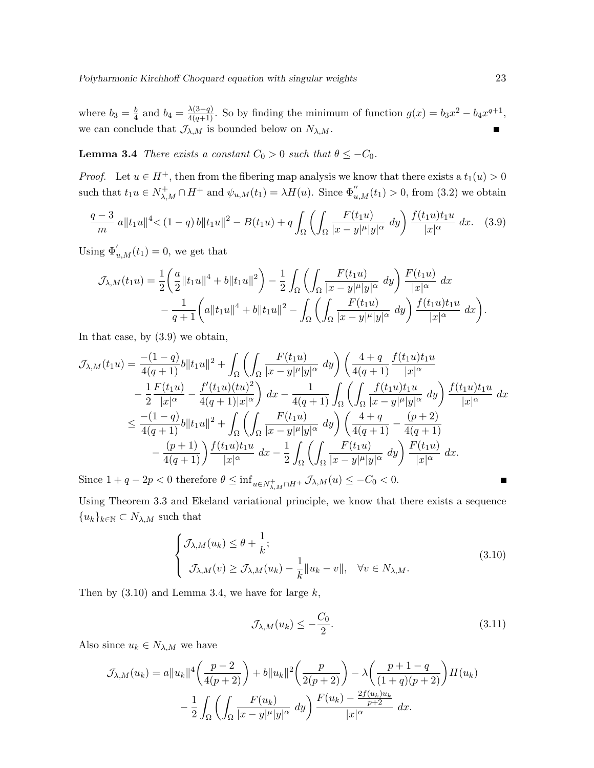where  $b_3 = \frac{b}{4}$  $\frac{b}{4}$  and  $b_4 = \frac{\lambda(3-q)}{4(q+1)}$ . So by finding the minimum of function  $g(x) = b_3x^2 - b_4x^{q+1}$ , we can conclude that  $\mathcal{J}_{\lambda,M}$  is bounded below on  $N_{\lambda,M}$ .

**Lemma 3.4** There exists a constant  $C_0 > 0$  such that  $\theta \leq -C_0$ .

*Proof.* Let  $u \in H^+$ , then from the fibering map analysis we know that there exists a  $t_1(u) > 0$ such that  $t_1u \in N^+_{\lambda,M} \cap H^+$  and  $\psi_{u,M}(t_1) = \lambda H(u)$ . Since  $\Phi''_{u,M}(t_1) > 0$ , from (3.2) we obtain

$$
\frac{q-3}{m} a \|t_1 u\|^4 < (1-q) b \|t_1 u\|^2 - B(t_1 u) + q \int_{\Omega} \left( \int_{\Omega} \frac{F(t_1 u)}{|x-y|^{\mu} |y|^{\alpha}} dy \right) \frac{f(t_1 u) t_1 u}{|x|^{\alpha}} dx. \tag{3.9}
$$

Using  $\Phi'_{u,M}(t_1) = 0$ , we get that

$$
\mathcal{J}_{\lambda,M}(t_1u) = \frac{1}{2} \left( \frac{a}{2} \|t_1u\|^4 + b \|t_1u\|^2 \right) - \frac{1}{2} \int_{\Omega} \left( \int_{\Omega} \frac{F(t_1u)}{|x-y|^{\mu}|y|^{\alpha}} dy \right) \frac{F(t_1u)}{|x|^{\alpha}} dx - \frac{1}{q+1} \left( a \|t_1u\|^4 + b \|t_1u\|^2 - \int_{\Omega} \left( \int_{\Omega} \frac{F(t_1u)}{|x-y|^{\mu}|y|^{\alpha}} dy \right) \frac{f(t_1u)t_1u}{|x|^{\alpha}} dx \right).
$$

In that case, by (3.9) we obtain,

$$
\mathcal{J}_{\lambda,M}(t_1u) = \frac{-(1-q)}{4(q+1)}b\|t_1u\|^2 + \int_{\Omega} \left( \int_{\Omega} \frac{F(t_1u)}{|x-y|^{\mu}|y|^{\alpha}} dy \right) \left( \frac{4+q}{4(q+1)} \frac{f(t_1u)t_1u}{|x|^{\alpha}} - \frac{1}{2} \frac{F(t_1u)}{|x|^{\alpha}} - \frac{f'(t_1u)(tu)^2}{4(q+1)|x|^{\alpha}} \right) dx - \frac{1}{4(q+1)} \int_{\Omega} \left( \int_{\Omega} \frac{f(t_1u)t_1u}{|x-y|^{\mu}|y|^{\alpha}} dy \right) \frac{f(t_1u)t_1u}{|x|^{\alpha}} dx
$$
  
\n
$$
\leq \frac{-(1-q)}{4(q+1)}b\|t_1u\|^2 + \int_{\Omega} \left( \int_{\Omega} \frac{F(t_1u)}{|x-y|^{\mu}|y|^{\alpha}} dy \right) \left( \frac{4+q}{4(q+1)} - \frac{(p+2)}{4(q+1)} - \frac{(p+1)}{4(q+1)} \right) \frac{f(t_1u)t_1u}{|x|^{\alpha}} dx - \frac{1}{2} \int_{\Omega} \left( \int_{\Omega} \frac{F(t_1u)}{|x-y|^{\mu}|y|^{\alpha}} dy \right) \frac{F(t_1u)}{|x|^{\alpha}} dx.
$$
  
\nSince 1, 1, 2, 2x  $\leq$  0, therefore  $\theta \leq$  inf.

Since  $1 + q - 2p < 0$  therefore  $\theta \le \inf_{u \in N^+_{\lambda,M} \cap H^+} \mathcal{J}_{\lambda,M}(u) \le -C_0 < 0.$ 

Using Theorem 3.3 and Ekeland variational principle, we know that there exists a sequence  ${u_k}_{k\in\mathbb{N}}\subset N_{\lambda,M}$  such that

$$
\begin{cases}\n\mathcal{J}_{\lambda,M}(u_k) \leq \theta + \frac{1}{k};\\ \n\mathcal{J}_{\lambda,M}(v) \geq \mathcal{J}_{\lambda,M}(u_k) - \frac{1}{k} \|u_k - v\|, \quad \forall v \in N_{\lambda,M}.\n\end{cases}
$$
\n(3.10)

Then by  $(3.10)$  and Lemma 3.4, we have for large k,

$$
\mathcal{J}_{\lambda,M}(u_k) \le -\frac{C_0}{2}.\tag{3.11}
$$

Also since  $u_k \in N_{\lambda,M}$  we have

$$
\mathcal{J}_{\lambda,M}(u_k) = a||u_k||^4 \left(\frac{p-2}{4(p+2)}\right) + b||u_k||^2 \left(\frac{p}{2(p+2)}\right) - \lambda \left(\frac{p+1-q}{(1+q)(p+2)}\right) H(u_k) \n- \frac{1}{2} \int_{\Omega} \left(\int_{\Omega} \frac{F(u_k)}{|x-y|^{\mu}|y|^{\alpha}} dy\right) \frac{F(u_k) - \frac{2f(u_k)u_k}{p+2}}{|x|^{\alpha}} dx.
$$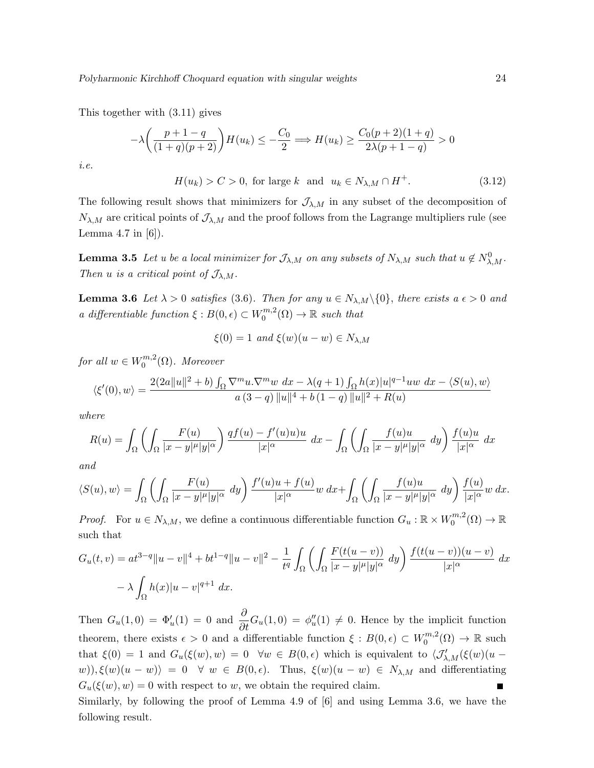This together with (3.11) gives

$$
-\lambda \left(\frac{p+1-q}{(1+q)(p+2)}\right) H(u_k) \le -\frac{C_0}{2} \Longrightarrow H(u_k) \ge \frac{C_0(p+2)(1+q)}{2\lambda(p+1-q)} > 0
$$
  

$$
H(u_k) > C > 0 \quad \text{for large } k \quad \text{and} \quad u_k \in N_1, \forall k \in \mathbb{N}^+
$$
 (3.12)

i.e.

 $H(u_k) > C > 0$ , for large k and  $u_k \in N_{\lambda,M} \cap H^+$ . (3.12)

The following result shows that minimizers for  $\mathcal{J}_{\lambda,M}$  in any subset of the decomposition of  $N_{\lambda,M}$  are critical points of  $\mathcal{J}_{\lambda,M}$  and the proof follows from the Lagrange multipliers rule (see Lemma 4.7 in  $[6]$ ).

**Lemma 3.5** Let u be a local minimizer for  $\mathcal{J}_{\lambda,M}$  on any subsets of  $N_{\lambda,M}$  such that  $u \notin N^0_{\lambda,M}$ . Then u is a critical point of  $\mathcal{J}_{\lambda,M}$ .

**Lemma 3.6** Let  $\lambda > 0$  satisfies (3.6). Then for any  $u \in N_{\lambda,M} \setminus \{0\}$ , there exists  $a \in \lambda > 0$  and a differentiable function  $\xi : B(0, \epsilon) \subset W_0^{m,2}$  $C_0^{m,2}(\Omega) \to \mathbb{R}$  such that

$$
\xi(0) = 1 \ and \ \xi(w)(u - w) \in N_{\lambda, M}
$$

for all  $w \in W_0^{m,2}$  $\binom{m}{0}$ . Moreover

$$
\langle \xi'(0), w \rangle = \frac{2(2a||u||^2 + b) \int_{\Omega} \nabla^m u \cdot \nabla^m w \, dx - \lambda(q+1) \int_{\Omega} h(x) |u|^{q-1} u w \, dx - \langle S(u), w \rangle}{a (3-q) ||u||^4 + b (1-q) ||u||^2 + R(u)}
$$

where

$$
R(u) = \int_{\Omega} \left( \int_{\Omega} \frac{F(u)}{|x - y|^{\mu}|y|^{\alpha}} \right) \frac{qf(u) - f'(u)u}{|x|^{\alpha}} dx - \int_{\Omega} \left( \int_{\Omega} \frac{f(u)u}{|x - y|^{\mu}|y|^{\alpha}} dy \right) \frac{f(u)u}{|x|^{\alpha}} dx
$$

and

$$
\langle S(u), w \rangle = \int_{\Omega} \left( \int_{\Omega} \frac{F(u)}{|x - y|^{\mu}|y|^{\alpha}} dy \right) \frac{f'(u)u + f(u)}{|x|^{\alpha}} w \, dx + \int_{\Omega} \left( \int_{\Omega} \frac{f(u)u}{|x - y|^{\mu}|y|^{\alpha}} dy \right) \frac{f(u)}{|x|^{\alpha}} w \, dx.
$$

*Proof.* For  $u \in N_{\lambda,M}$ , we define a continuous differentiable function  $G_u : \mathbb{R} \times W_0^{m,2}$  $C_0^{m,2}(\Omega) \to \mathbb{R}$ such that

$$
G_u(t, v) = at^{3-q} \|u - v\|^4 + bt^{1-q} \|u - v\|^2 - \frac{1}{t^q} \int_{\Omega} \left( \int_{\Omega} \frac{F(t(u - v))}{|x - y|^{\mu} |y|^{\alpha}} dy \right) \frac{f(t(u - v))(u - v)}{|x|^{\alpha}} dx
$$

$$
- \lambda \int_{\Omega} h(x) |u - v|^{q+1} dx.
$$

Then  $G_u(1,0) = \Phi'_u(1) = 0$  and  $\frac{\partial}{\partial t} G_u(1,0) = \phi''_u(1) \neq 0$ . Hence by the implicit function theorem, there exists  $\epsilon > 0$  and a differentiable function  $\xi : B(0, \epsilon) \subset W_0^{m, 2}$  $C_0^{m,2}(\Omega) \to \mathbb{R}$  such that  $\xi(0) = 1$  and  $G_u(\xi(w), w) = 0 \quad \forall w \in B(0, \epsilon)$  which is equivalent to  $\langle \mathcal{J}'_{\lambda, M}(\xi(w)(u - \epsilon)) \rangle$ w)),  $\xi(w)(u - w) = 0 \quad \forall \ w \in B(0, \epsilon)$ . Thus,  $\xi(w)(u - w) \in N_{\lambda, M}$  and differentiating  $G_u(\xi(w), w) = 0$  with respect to w, we obtain the required claim.

Similarly, by following the proof of Lemma 4.9 of [6] and using Lemma 3.6, we have the following result.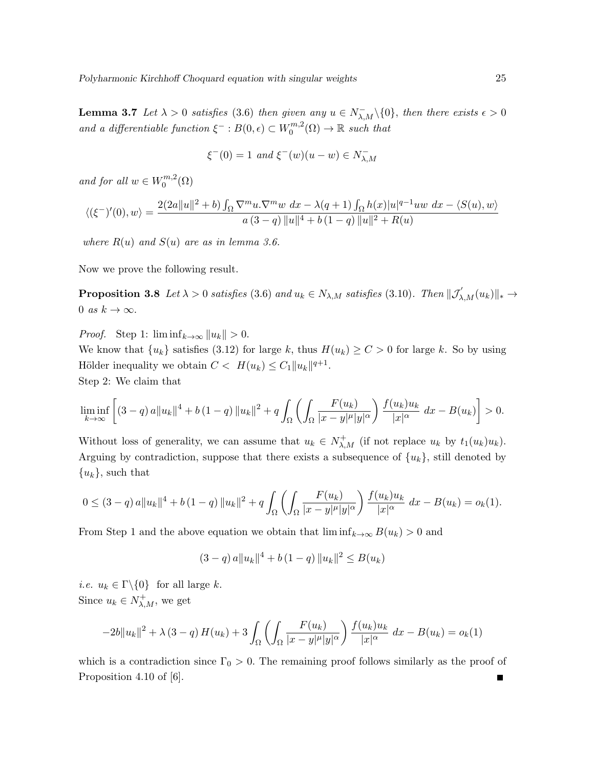**Lemma 3.7** Let  $\lambda > 0$  satisfies (3.6) then given any  $u \in N_{\lambda,M}^-(\{0\})$ , then there exists  $\epsilon > 0$ and a differentiable function  $\xi^- : B(0, \epsilon) \subset W_0^{m,2}$  $C_0^{m,2}(\Omega) \to \mathbb{R}$  such that

$$
\xi^{-}(0) = 1 \ and \ \xi^{-}(w)(u - w) \in N_{\lambda, M}^{-}
$$

and for all  $w \in W_0^{m,2}$  $\binom{m,2}{0}$ 

$$
\langle (\xi^-)'(0), w \rangle = \frac{2(2a||u||^2 + b) \int_{\Omega} \nabla^m u \cdot \nabla^m w \, dx - \lambda(q+1) \int_{\Omega} h(x) |u|^{q-1} u w \, dx - \langle S(u), w \rangle}{a (3-q) ||u||^4 + b (1-q) ||u||^2 + R(u)}
$$

where  $R(u)$  and  $S(u)$  are as in lemma 3.6.

Now we prove the following result.

**Proposition 3.8** Let  $\lambda > 0$  satisfies (3.6) and  $u_k \in N_{\lambda,M}$  satisfies (3.10). Then  $\|\mathcal{J}_{\lambda,M}'(u_k)\|_{*} \to$ 0 as  $k \to \infty$ .

*Proof.* Step 1:  $\liminf_{k\to\infty} ||u_k|| > 0.$ 

We know that  $\{u_k\}$  satisfies (3.12) for large k, thus  $H(u_k) \ge C > 0$  for large k. So by using Hölder inequality we obtain  $C < H(u_k) \leq C_1 ||u_k||^{q+1}$ . Step 2: We claim that

$$
\liminf_{k \to \infty} \left[ (3-q) a \|u_k\|^4 + b (1-q) \|u_k\|^2 + q \int_{\Omega} \left( \int_{\Omega} \frac{F(u_k)}{|x-y|^{\mu}|y|^{\alpha}} \right) \frac{f(u_k)u_k}{|x|^{\alpha}} dx - B(u_k) \right] > 0.
$$

Without loss of generality, we can assume that  $u_k \in N^+_{\lambda,M}$  (if not replace  $u_k$  by  $t_1(u_k)u_k$ ). Arguing by contradiction, suppose that there exists a subsequence of  $\{u_k\}$ , still denoted by  ${u_k}$ , such that

$$
0 \le (3-q) a \|u_k\|^4 + b (1-q) \|u_k\|^2 + q \int_{\Omega} \left( \int_{\Omega} \frac{F(u_k)}{|x-y|^{\mu}|y|^{\alpha}} \right) \frac{f(u_k)u_k}{|x|^{\alpha}} dx - B(u_k) = o_k(1).
$$

From Step 1 and the above equation we obtain that  $\liminf_{k\to\infty} B(u_k) > 0$  and

$$
(3-q) a \|u_k\|^4 + b (1-q) \|u_k\|^2 \le B(u_k)
$$

*i.e.*  $u_k \in \Gamma \backslash \{0\}$  for all large k. Since  $u_k \in N^+_{\lambda,M}$ , we get

$$
-2b||u_k||^2 + \lambda (3-q) H(u_k) + 3 \int_{\Omega} \left( \int_{\Omega} \frac{F(u_k)}{|x-y|^{\mu}|y|^{\alpha}} \right) \frac{f(u_k)u_k}{|x|^{\alpha}} dx - B(u_k) = o_k(1)
$$

which is a contradiction since  $\Gamma_0 > 0$ . The remaining proof follows similarly as the proof of Proposition 4.10 of [6]. Е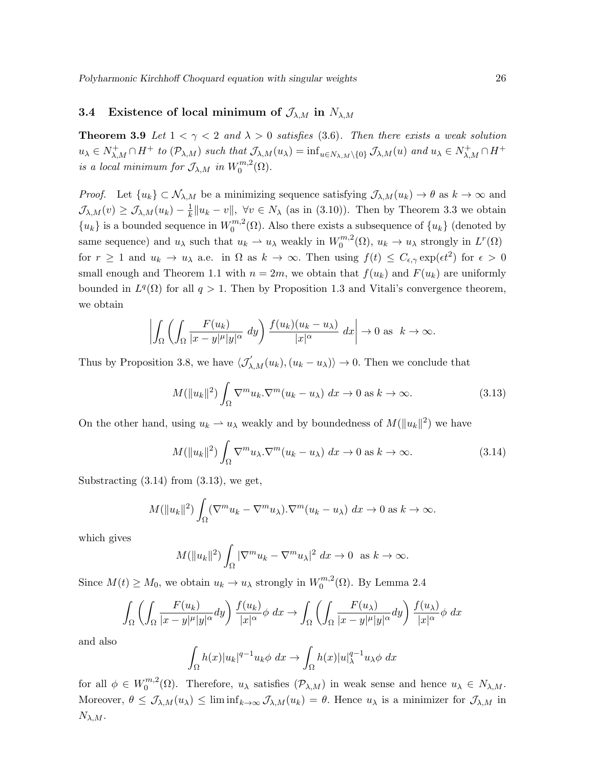### 3.4 Existence of local minimum of  $\mathcal{J}_{\lambda,M}$  in  $N_{\lambda,M}$

**Theorem 3.9** Let  $1 < \gamma < 2$  and  $\lambda > 0$  satisfies (3.6). Then there exists a weak solution  $u_{\lambda} \in N^+_{\lambda,M} \cap H^+$  to  $(\mathcal{P}_{\lambda,M})$  such that  $\mathcal{J}_{\lambda,M}(u_{\lambda}) = \inf_{u \in N_{\lambda,M}\setminus\{0\}} \mathcal{J}_{\lambda,M}(u)$  and  $u_{\lambda} \in N^+_{\lambda,M} \cap H^+$ is a local minimum for  $\mathcal{J}_{\lambda,M}$  in  $W_0^{m,2}$  $\binom{m,2}{0}$ .

*Proof.* Let  $\{u_k\} \subset \mathcal{N}_{\lambda,M}$  be a minimizing sequence satisfying  $\mathcal{J}_{\lambda,M}(u_k) \to \theta$  as  $k \to \infty$  and  $\mathcal{J}_{\lambda,M}(v) \geq \mathcal{J}_{\lambda,M}(u_k) - \frac{1}{k}$  $\frac{1}{k}||u_k - v||$ ,  $\forall v \in N_\lambda$  (as in (3.10)). Then by Theorem 3.3 we obtain  ${u_k}$  is a bounded sequence in  $W_0^{m,2}$  $0^{m,2}(\Omega)$ . Also there exists a subsequence of  $\{u_k\}$  (denoted by same sequence) and  $u_{\lambda}$  such that  $u_k \to u_{\lambda}$  weakly in  $W_0^{m,2}$  $u_0^{m,2}(\Omega)$ ,  $u_k \to u_\lambda$  strongly in  $L^r(\Omega)$ for  $r \geq 1$  and  $u_k \to u_\lambda$  a.e. in  $\Omega$  as  $k \to \infty$ . Then using  $f(t) \leq C_{\epsilon,\gamma} \exp(\epsilon t^2)$  for  $\epsilon > 0$ small enough and Theorem 1.1 with  $n = 2m$ , we obtain that  $f(u_k)$  and  $F(u_k)$  are uniformly bounded in  $L^q(\Omega)$  for all  $q > 1$ . Then by Proposition 1.3 and Vitali's convergence theorem, we obtain

$$
\left| \int_{\Omega} \left( \int_{\Omega} \frac{F(u_k)}{|x - y|^{\mu} |y|^{\alpha}} dy \right) \frac{f(u_k)(u_k - u_\lambda)}{|x|^{\alpha}} dx \right| \to 0 \text{ as } k \to \infty.
$$

Thus by Proposition 3.8, we have  $\langle \mathcal{J}'_{\lambda,M}(u_k), (u_k - u_\lambda) \rangle \to 0$ . Then we conclude that

$$
M(||u_k||^2) \int_{\Omega} \nabla^m u_k \cdot \nabla^m (u_k - u_\lambda) \, dx \to 0 \text{ as } k \to \infty. \tag{3.13}
$$

On the other hand, using  $u_k \to u_\lambda$  weakly and by boundedness of  $M(\|u_k\|^2)$  we have

$$
M(\|u_k\|^2) \int_{\Omega} \nabla^m u_\lambda \cdot \nabla^m (u_k - u_\lambda) \, dx \to 0 \text{ as } k \to \infty. \tag{3.14}
$$

Substracting  $(3.14)$  from  $(3.13)$ , we get,

$$
M(||u_k||^2) \int_{\Omega} (\nabla^m u_k - \nabla^m u_\lambda) . \nabla^m (u_k - u_\lambda) dx \to 0 \text{ as } k \to \infty.
$$

which gives

$$
M(||u_k||^2) \int_{\Omega} |\nabla^m u_k - \nabla^m u_\lambda|^2 \, dx \to 0 \text{ as } k \to \infty.
$$

Since  $M(t) \geq M_0$ , we obtain  $u_k \to u_\lambda$  strongly in  $W_0^{m,2}$  $_{0}^{m,2}(\Omega)$ . By Lemma 2.4

$$
\int_{\Omega} \left( \int_{\Omega} \frac{F(u_k)}{|x - y|^{\mu} |y|^{\alpha}} dy \right) \frac{f(u_k)}{|x|^{\alpha}} \phi \ dx \to \int_{\Omega} \left( \int_{\Omega} \frac{F(u_\lambda)}{|x - y|^{\mu} |y|^{\alpha}} dy \right) \frac{f(u_\lambda)}{|x|^{\alpha}} \phi \ dx
$$

and also

$$
\int_{\Omega} h(x)|u_k|^{q-1}u_k \phi \ dx \to \int_{\Omega} h(x)|u|_{\lambda}^{q-1}u_{\lambda} \phi \ dx
$$

for all  $\phi \in W_0^{m,2}$  $0^{m,2}(\Omega)$ . Therefore,  $u_{\lambda}$  satisfies  $(\mathcal{P}_{\lambda,M})$  in weak sense and hence  $u_{\lambda} \in N_{\lambda,M}$ . Moreover,  $\theta \leq \mathcal{J}_{\lambda,M}(u_{\lambda}) \leq \liminf_{k \to \infty} \mathcal{J}_{\lambda,M}(u_k) = \theta$ . Hence  $u_{\lambda}$  is a minimizer for  $\mathcal{J}_{\lambda,M}$  in  $N_{\lambda,M}.$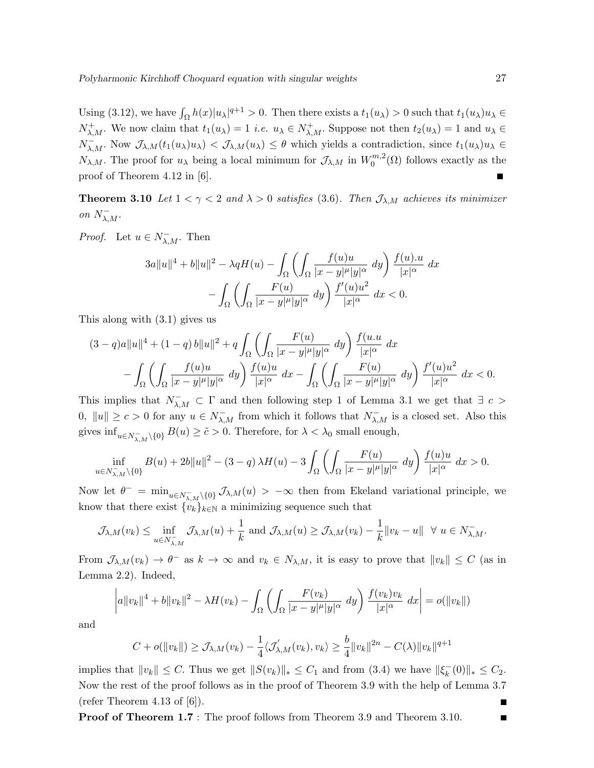Using (3.12), we have  $\int_{\Omega} h(x)|u_{\lambda}|^{q+1} > 0$ . Then there exists a  $t_1(u_{\lambda}) > 0$  such that  $t_1(u_{\lambda})u_{\lambda} \in$  $N^+_{\lambda,M}$ . We now claim that  $t_1(u_\lambda) = 1$  *i.e.*  $u_\lambda \in N^+_{\lambda,M}$ . Suppose not then  $t_2(u_\lambda) = 1$  and  $u_\lambda \in$  $N_{\lambda,M}^-$ . Now  $\mathcal{J}_{\lambda,M}(t_1(u_\lambda)u_\lambda) < \mathcal{J}_{\lambda,M}(u_\lambda) \leq \theta$  which yields a contradiction, since  $t_1(u_\lambda)u_\lambda \in$  $N_{\lambda,M}$ . The proof for  $u_{\lambda}$  being a local minimum for  $\mathcal{J}_{\lambda,M}$  in  $W_0^{m,2}$  $0^{m,2}(\Omega)$  follows exactly as the proof of Theorem 4.12 in [6].

**Theorem 3.10** Let  $1 < \gamma < 2$  and  $\lambda > 0$  satisfies (3.6). Then  $\mathcal{J}_{\lambda,M}$  achieves its minimizer on  $N_{\lambda,M}^-$ .

*Proof.* Let  $u \in N_{\lambda,M}^-$ . Then

$$
3a||u||^4 + b||u||^2 - \lambda qH(u) - \int_{\Omega} \left( \int_{\Omega} \frac{f(u)u}{|x-y|^{\mu}|y|^{\alpha}} dy \right) \frac{f(u).u}{|x|^{\alpha}} dx
$$

$$
- \int_{\Omega} \left( \int_{\Omega} \frac{F(u)}{|x-y|^{\mu}|y|^{\alpha}} dy \right) \frac{f'(u)u^2}{|x|^{\alpha}} dx < 0.
$$

This along with (3.1) gives us

$$
(3-q)a||u||4 + (1-q) b||u||2 + q \int_{\Omega} \left( \int_{\Omega} \frac{F(u)}{|x-y|^{\mu}|y|^{\alpha}} dy \right) \frac{f(u.u}{|x|^{\alpha}} dx
$$

$$
- \int_{\Omega} \left( \int_{\Omega} \frac{f(u)u}{|x-y|^{\mu}|y|^{\alpha}} dy \right) \frac{f(u)u}{|x|^{\alpha}} dx - \int_{\Omega} \left( \int_{\Omega} \frac{F(u)}{|x-y|^{\mu}|y|^{\alpha}} dy \right) \frac{f'(u)u^{2}}{|x|^{\alpha}} dx < 0.
$$

This implies that  $N_{\lambda,M}^- \subset \Gamma$  and then following step 1 of Lemma 3.1 we get that  $\exists c >$ 0,  $||u|| \ge c > 0$  for any  $u \in N_{\lambda,M}^-$  from which it follows that  $N_{\lambda,M}^-$  is a closed set. Also this gives  $\inf_{u \in N_{\lambda,M}^- \setminus \{0\}} B(u) \geq \tilde{c} > 0$ . Therefore, for  $\lambda < \lambda_0$  small enough,

$$
\inf_{u \in N_{\lambda,M}^- \setminus \{0\}} B(u) + 2b\|u\|^2 - (3-q)\lambda H(u) - 3\int_{\Omega} \left( \int_{\Omega} \frac{F(u)}{|x-y|^{\mu}|y|^{\alpha}} dy \right) \frac{f(u)u}{|x|^{\alpha}} dx > 0.
$$

Now let  $\theta^- = \min_{u \in N_{\lambda,M}^-} \chi_{0} \mathcal{J}_{\lambda,M}(u) > -\infty$  then from Ekeland variational principle, we know that there exist  $\{v_k\}_{k\in\mathbb{N}}$  a minimizing sequence such that

$$
\mathcal{J}_{\lambda,M}(v_k) \leq \inf_{u \in N_{\lambda,M}^-} \mathcal{J}_{\lambda,M}(u) + \frac{1}{k} \text{ and } \mathcal{J}_{\lambda,M}(u) \geq \mathcal{J}_{\lambda,M}(v_k) - \frac{1}{k} ||v_k - u|| \quad \forall \ u \in N_{\lambda,M}^-.
$$

From  $\mathcal{J}_{\lambda,M}(v_k) \to \theta^-$  as  $k \to \infty$  and  $v_k \in N_{\lambda,M}$ , it is easy to prove that  $||v_k|| \leq C$  (as in Lemma 2.2). Indeed,

$$
\left|a\|v_k\|^4 + b\|v_k\|^2 - \lambda H(v_k) - \int_{\Omega} \left(\int_{\Omega} \frac{F(v_k)}{|x-y|^{\mu}|y|^{\alpha}} dy\right) \frac{f(v_k)v_k}{|x|^{\alpha}} dx\right| = o(\|v_k\|)
$$

and

$$
C + o(||v_k||) \geq \mathcal{J}_{\lambda,M}(v_k) - \frac{1}{4} \langle \mathcal{J}'_{\lambda,M}(v_k), v_k \rangle \geq \frac{b}{4} ||v_k||^{2n} - C(\lambda) ||v_k||^{q+1}
$$

implies that  $||v_k|| \leq C$ . Thus we get  $||S(v_k)||_* \leq C_1$  and from (3.4) we have  $||\xi_k^-||$  $\|kappa^{-}(0)\|_{*} \leq C_{2}.$ Now the rest of the proof follows as in the proof of Theorem 3.9 with the help of Lemma 3.7 (refer Theorem 4.13 of  $[6]$ ).

Proof of Theorem 1.7 : The proof follows from Theorem 3.9 and Theorem 3.10.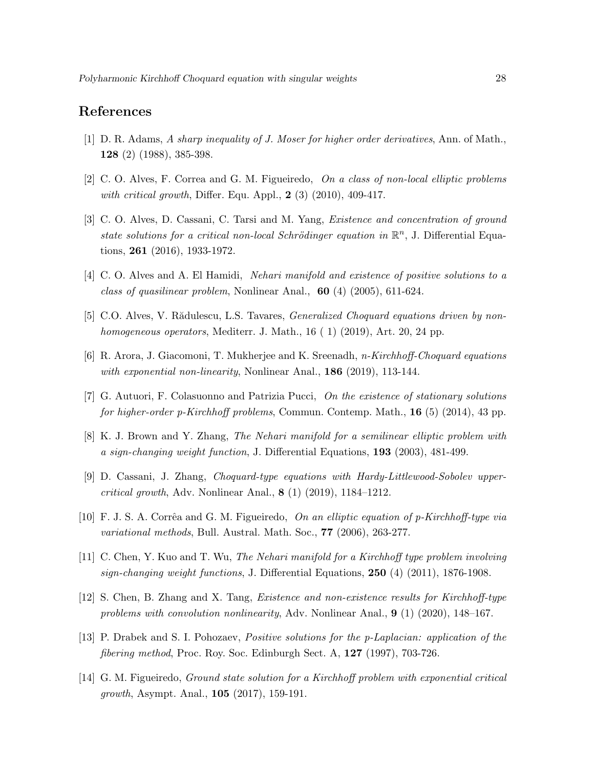# References

- [1] D. R. Adams, A sharp inequality of J. Moser for higher order derivatives, Ann. of Math., 128 (2) (1988), 385-398.
- [2] C. O. Alves, F. Correa and G. M. Figueiredo, On a class of non-local elliptic problems with critical growth, Differ. Equ. Appl.,  $2(3)(2010)$ , 409-417.
- [3] C. O. Alves, D. Cassani, C. Tarsi and M. Yang, *Existence and concentration of ground* state solutions for a critical non-local Schrödinger equation in  $\mathbb{R}^n$ , J. Differential Equations, 261 (2016), 1933-1972.
- [4] C. O. Alves and A. El Hamidi, Nehari manifold and existence of positive solutions to a class of quasilinear problem, Nonlinear Anal.,  $60$  (4) (2005), 611-624.
- [5] C.O. Alves, V. Rădulescu, L.S. Tavares, *Generalized Choquard equations driven by non*homogeneous operators, Mediterr. J. Math., 16 (1) (2019), Art. 20, 24 pp.
- [6] R. Arora, J. Giacomoni, T. Mukherjee and K. Sreenadh, n-Kirchhoff-Choquard equations with exponential non-linearity, Nonlinear Anal.,  $186$  (2019), 113-144.
- [7] G. Autuori, F. Colasuonno and Patrizia Pucci, On the existence of stationary solutions for higher-order p-Kirchhoff problems, Commun. Contemp. Math., 16 (5) (2014), 43 pp.
- [8] K. J. Brown and Y. Zhang, The Nehari manifold for a semilinear elliptic problem with a sign-changing weight function, J. Differential Equations, 193 (2003), 481-499.
- [9] D. Cassani, J. Zhang, Choquard-type equations with Hardy-Littlewood-Sobolev uppercritical growth, Adv. Nonlinear Anal., 8 (1) (2019), 1184–1212.
- [10] F. J. S. A. Corrêa and G. M. Figueiredo, On an elliptic equation of p-Kirchhoff-type via variational methods, Bull. Austral. Math. Soc., 77 (2006), 263-277.
- [11] C. Chen, Y. Kuo and T. Wu, The Nehari manifold for a Kirchhoff type problem involving sign-changing weight functions, J. Differential Equations,  $250$  (4) (2011), 1876-1908.
- [12] S. Chen, B. Zhang and X. Tang, Existence and non-existence results for Kirchhoff-type problems with convolution nonlinearity, Adv. Nonlinear Anal., 9 (1) (2020), 148–167.
- [13] P. Drabek and S. I. Pohozaev, Positive solutions for the p-Laplacian: application of the fibering method, Proc. Roy. Soc. Edinburgh Sect. A, 127 (1997), 703-726.
- [14] G. M. Figueiredo, Ground state solution for a Kirchhoff problem with exponential critical growth, Asympt. Anal., 105 (2017), 159-191.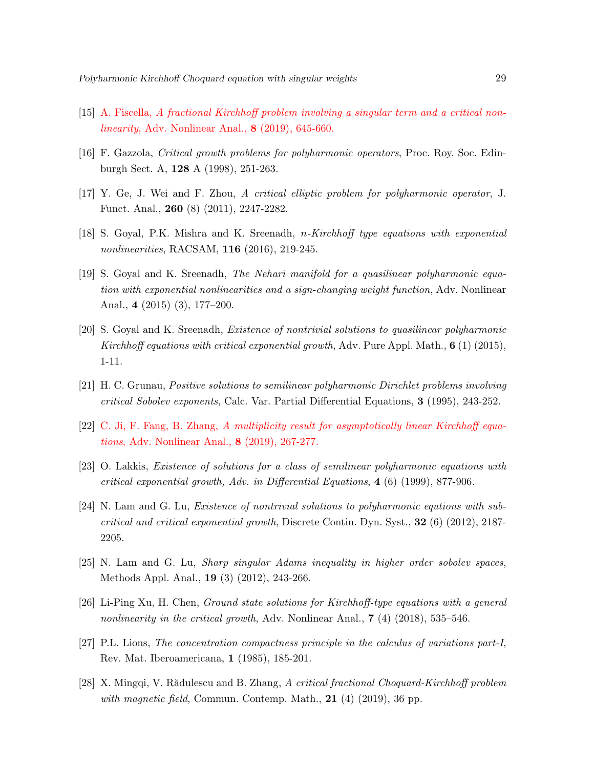- [15] A. Fiscella, A fractional Kirchhoff problem involving a singular term and a critical nonlinearity, Adv. Nonlinear Anal., 8 (2019), 645-660.
- [16] F. Gazzola, Critical growth problems for polyharmonic operators, Proc. Roy. Soc. Edinburgh Sect. A, 128 A (1998), 251-263.
- [17] Y. Ge, J. Wei and F. Zhou, A critical elliptic problem for polyharmonic operator, J. Funct. Anal., 260 (8) (2011), 2247-2282.
- [18] S. Goyal, P.K. Mishra and K. Sreenadh, n-Kirchhoff type equations with exponential nonlinearities, RACSAM, 116 (2016), 219-245.
- [19] S. Goyal and K. Sreenadh, The Nehari manifold for a quasilinear polyharmonic equation with exponential nonlinearities and a sign-changing weight function, Adv. Nonlinear Anal., 4 (2015) (3), 177–200.
- [20] S. Goyal and K. Sreenadh, Existence of nontrivial solutions to quasilinear polyharmonic Kirchhoff equations with critical exponential growth, Adv. Pure Appl. Math.,  $6(1)(2015)$ , 1-11.
- [21] H. C. Grunau, Positive solutions to semilinear polyharmonic Dirichlet problems involving critical Sobolev exponents, Calc. Var. Partial Differential Equations, 3 (1995), 243-252.
- [22] C. Ji, F. Fang, B. Zhang, A multiplicity result for asymptotically linear Kirchhoff equations, Adv. Nonlinear Anal., 8 (2019), 267-277.
- [23] O. Lakkis, Existence of solutions for a class of semilinear polyharmonic equations with critical exponential growth, Adv. in Differential Equations, 4 (6) (1999), 877-906.
- [24] N. Lam and G. Lu, Existence of nontrivial solutions to polyharmonic equtions with subcritical and critical exponential growth, Discrete Contin. Dyn. Syst.,  $32$  (6) (2012), 2187-2205.
- [25] N. Lam and G. Lu, Sharp singular Adams inequality in higher order sobolev spaces, Methods Appl. Anal., 19 (3) (2012), 243-266.
- [26] Li-Ping Xu, H. Chen, Ground state solutions for Kirchhoff-type equations with a general nonlinearity in the critical growth, Adv. Nonlinear Anal.,  $7$  (4) (2018), 535–546.
- [27] P.L. Lions, The concentration compactness principle in the calculus of variations part-I, Rev. Mat. Iberoamericana, 1 (1985), 185-201.
- [28] X. Mingqi, V. Rădulescu and B. Zhang, A critical fractional Choquard-Kirchhoff problem with magnetic field, Commun. Contemp. Math.,  $21$  (4) (2019), 36 pp.